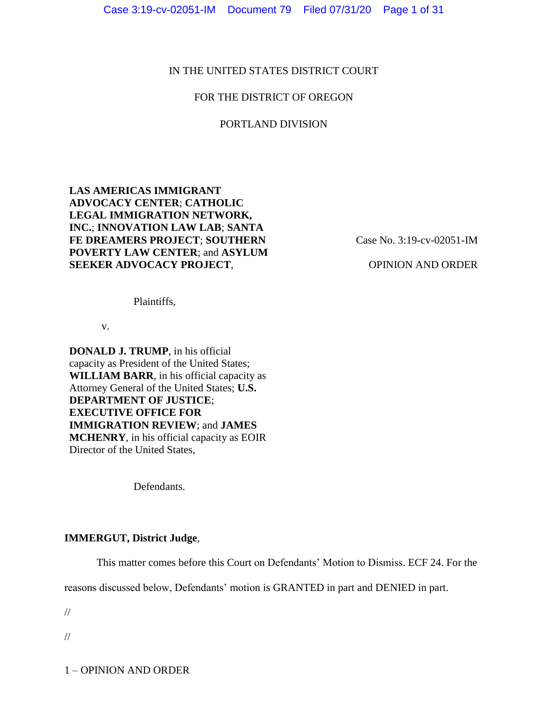# IN THE UNITED STATES DISTRICT COURT

# FOR THE DISTRICT OF OREGON

## PORTLAND DIVISION

# **LAS AMERICAS IMMIGRANT ADVOCACY CENTER**; **CATHOLIC LEGAL IMMIGRATION NETWORK, INC.**; **INNOVATION LAW LAB**; **SANTA FE DREAMERS PROJECT**; **SOUTHERN POVERTY LAW CENTER**; and **ASYLUM SEEKER ADVOCACY PROJECT**,

Case No. 3:19-cv-02051-IM

OPINION AND ORDER

Plaintiffs,

v.

**DONALD J. TRUMP**, in his official capacity as President of the United States; **WILLIAM BARR**, in his official capacity as Attorney General of the United States; **U.S. DEPARTMENT OF JUSTICE**; **EXECUTIVE OFFICE FOR IMMIGRATION REVIEW**; and **JAMES MCHENRY**, in his official capacity as EOIR Director of the United States,

Defendants.

# **IMMERGUT, District Judge**,

This matter comes before this Court on Defendants' Motion to Dismiss. ECF 24. For the

reasons discussed below, Defendants' motion is GRANTED in part and DENIED in part.

//

//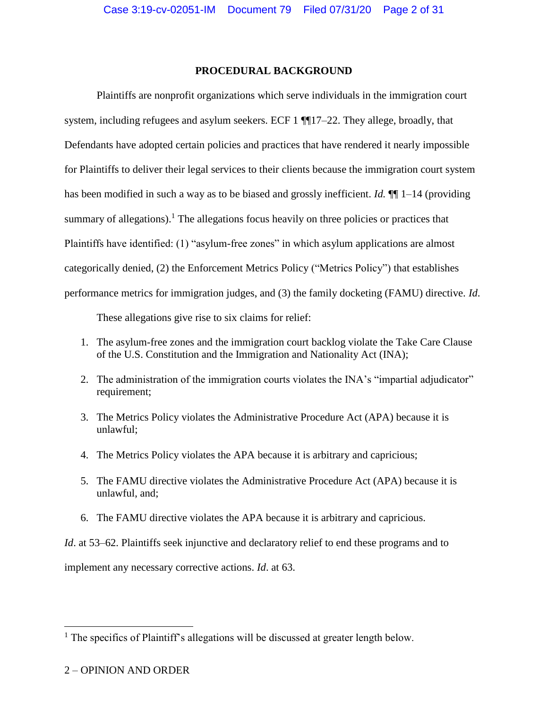### **PROCEDURAL BACKGROUND**

Plaintiffs are nonprofit organizations which serve individuals in the immigration court system, including refugees and asylum seekers. ECF 1 ¶¶17–22. They allege, broadly, that Defendants have adopted certain policies and practices that have rendered it nearly impossible for Plaintiffs to deliver their legal services to their clients because the immigration court system has been modified in such a way as to be biased and grossly inefficient. *Id.* ¶¶ 1–14 (providing summary of allegations).<sup>1</sup> The allegations focus heavily on three policies or practices that Plaintiffs have identified: (1) "asylum-free zones" in which asylum applications are almost categorically denied, (2) the Enforcement Metrics Policy ("Metrics Policy") that establishes performance metrics for immigration judges, and (3) the family docketing (FAMU) directive. *Id*.

These allegations give rise to six claims for relief:

- 1. The asylum-free zones and the immigration court backlog violate the Take Care Clause of the U.S. Constitution and the Immigration and Nationality Act (INA);
- 2. The administration of the immigration courts violates the INA's "impartial adjudicator" requirement;
- 3. The Metrics Policy violates the Administrative Procedure Act (APA) because it is unlawful;
- 4. The Metrics Policy violates the APA because it is arbitrary and capricious;
- 5. The FAMU directive violates the Administrative Procedure Act (APA) because it is unlawful, and;
- 6. The FAMU directive violates the APA because it is arbitrary and capricious.

*Id.* at 53–62. Plaintiffs seek injunctive and declaratory relief to end these programs and to

implement any necessary corrective actions. *Id*. at 63.

 $\overline{a}$ 

<sup>&</sup>lt;sup>1</sup> The specifics of Plaintiff's allegations will be discussed at greater length below.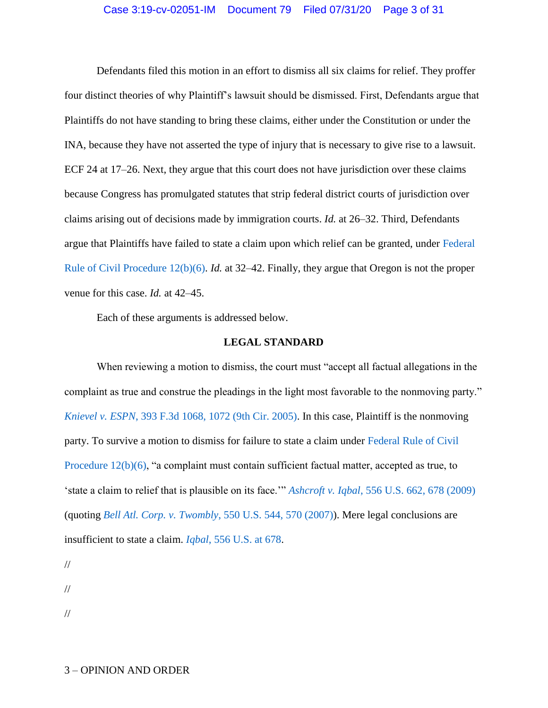#### Case 3:19-cv-02051-IM Document 79 Filed 07/31/20 Page 3 of 31

Defendants filed this motion in an effort to dismiss all six claims for relief. They proffer four distinct theories of why Plaintiff's lawsuit should be dismissed. First, Defendants argue that Plaintiffs do not have standing to bring these claims, either under the Constitution or under the INA, because they have not asserted the type of injury that is necessary to give rise to a lawsuit. ECF 24 at 17–26. Next, they argue that this court does not have jurisdiction over these claims because Congress has promulgated statutes that strip federal district courts of jurisdiction over claims arising out of decisions made by immigration courts. *Id.* at 26–32. Third, Defendants argue that Plaintiffs have failed to state a claim upon which relief can be granted, under [Federal](https://www.westlaw.com/Document/N96C8CD1043A111DC8D9EC9ECEEDEF2EE/View/FullText.html?transitionType=Default&contextData=(sc.Default)&VR=3.0&RS=da3.0)  [Rule of Civil Procedure 12\(b\)\(6\).](https://www.westlaw.com/Document/N96C8CD1043A111DC8D9EC9ECEEDEF2EE/View/FullText.html?transitionType=Default&contextData=(sc.Default)&VR=3.0&RS=da3.0) *Id.* at 32–42. Finally, they argue that Oregon is not the proper venue for this case. *Id.* at 42–45.

Each of these arguments is addressed below.

#### **LEGAL STANDARD**

When reviewing a motion to dismiss, the court must "accept all factual allegations in the complaint as true and construe the pleadings in the light most favorable to the nonmoving party." *Knievel v. ESPN*[, 393 F.3d 1068, 1072 \(9th Cir. 2005\).](https://www.westlaw.com/Document/I4248cc317e7911d9ac1ffa9f33b6c3b0/View/FullText.html?transitionType=Default&contextData=(sc.Default)&VR=3.0&RS=da3.0&fragmentIdentifier=co_pp_sp_506_1072) In this case, Plaintiff is the nonmoving party. To survive a motion to dismiss for failure to state a claim under [Federal Rule of Civil](https://www.westlaw.com/Document/N96C8CD1043A111DC8D9EC9ECEEDEF2EE/View/FullText.html?transitionType=Default&contextData=(sc.Default)&VR=3.0&RS=da3.0)  [Procedure 12\(b\)\(6\),](https://www.westlaw.com/Document/N96C8CD1043A111DC8D9EC9ECEEDEF2EE/View/FullText.html?transitionType=Default&contextData=(sc.Default)&VR=3.0&RS=da3.0) "a complaint must contain sufficient factual matter, accepted as true, to 'state a claim to relief that is plausible on its face.'" *Ashcroft v. Iqbal*[, 556 U.S. 662, 678 \(2009\)](https://www.westlaw.com/Document/I90623386439011de8bf6cd8525c41437/View/FullText.html?transitionType=Default&contextData=(sc.Default)&VR=3.0&RS=da3.0&fragmentIdentifier=co_pp_sp_780_678) (quoting *Bell Atl. Corp. v. Twombly*[, 550 U.S. 544, 570 \(2007\)\)](https://www.westlaw.com/Document/Ib53eb62e07a011dcb035bac3a32ef289/View/FullText.html?transitionType=Default&contextData=(sc.Default)&VR=3.0&RS=da3.0&fragmentIdentifier=co_pp_sp_780_570). Mere legal conclusions are insufficient to state a claim. *Iqbal*[, 556 U.S. at 678.](https://www.westlaw.com/Document/I90623386439011de8bf6cd8525c41437/View/FullText.html?transitionType=Default&contextData=(sc.Default)&VR=3.0&RS=da3.0&fragmentIdentifier=co_pp_sp_780_678)

//

//

//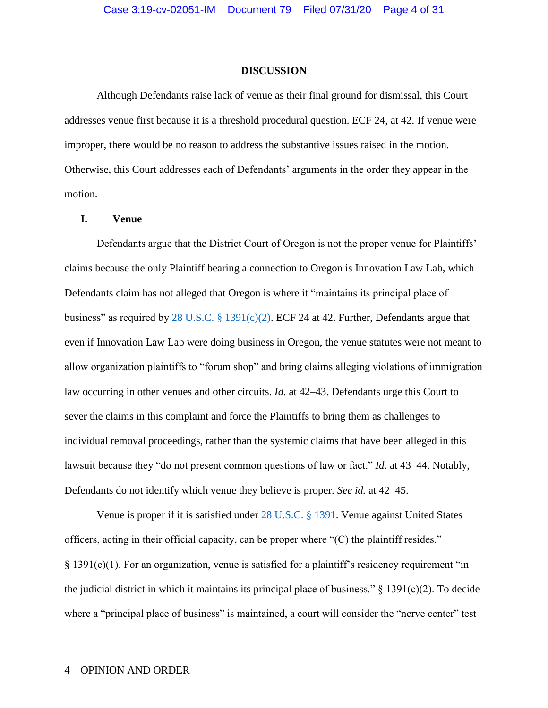#### **DISCUSSION**

Although Defendants raise lack of venue as their final ground for dismissal, this Court addresses venue first because it is a threshold procedural question. ECF 24, at 42. If venue were improper, there would be no reason to address the substantive issues raised in the motion. Otherwise, this Court addresses each of Defendants' arguments in the order they appear in the motion.

### **I. Venue**

Defendants argue that the District Court of Oregon is not the proper venue for Plaintiffs' claims because the only Plaintiff bearing a connection to Oregon is Innovation Law Lab, which Defendants claim has not alleged that Oregon is where it "maintains its principal place of business" as required by [28 U.S.C. § 1391\(c\)\(2\).](https://www.westlaw.com/Document/N646C7DB03CBE11E1974AF6B4DC9A22F7/View/FullText.html?transitionType=Default&contextData=(sc.Default)&VR=3.0&RS=da3.0) ECF 24 at 42. Further, Defendants argue that even if Innovation Law Lab were doing business in Oregon, the venue statutes were not meant to allow organization plaintiffs to "forum shop" and bring claims alleging violations of immigration law occurring in other venues and other circuits. *Id.* at 42–43. Defendants urge this Court to sever the claims in this complaint and force the Plaintiffs to bring them as challenges to individual removal proceedings, rather than the systemic claims that have been alleged in this lawsuit because they "do not present common questions of law or fact." *Id*. at 43–44. Notably, Defendants do not identify which venue they believe is proper. *See id.* at 42–45.

Venue is proper if it is satisfied under [28 U.S.C. § 1391.](https://www.westlaw.com/Document/N646C7DB03CBE11E1974AF6B4DC9A22F7/View/FullText.html?transitionType=Default&contextData=(sc.Default)&VR=3.0&RS=da3.0) Venue against United States officers, acting in their official capacity, can be proper where "(C) the plaintiff resides." § 1391(e)(1). For an organization, venue is satisfied for a plaintiff's residency requirement "in the judicial district in which it maintains its principal place of business."  $\S$  1391(c)(2). To decide where a "principal place of business" is maintained, a court will consider the "nerve center" test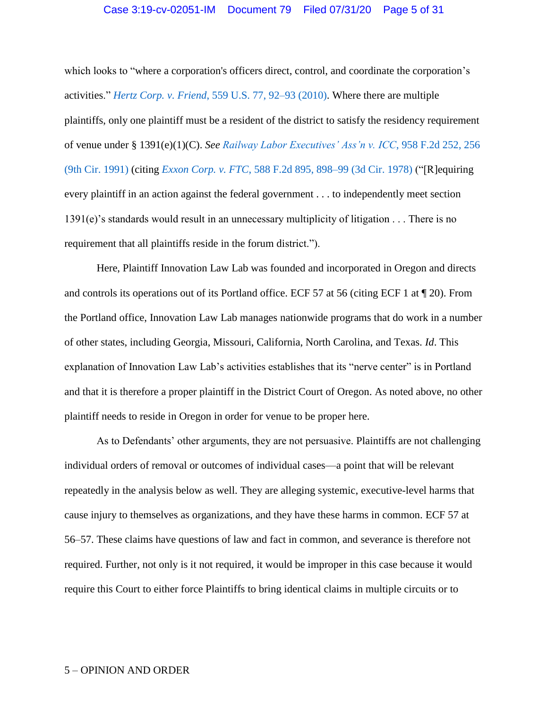#### Case 3:19-cv-02051-IM Document 79 Filed 07/31/20 Page 5 of 31

which looks to "where a corporation's officers direct, control, and coordinate the corporation's activities." *Hertz Corp. v. Friend*[, 559 U.S. 77, 92–93 \(2010\).](https://www.westlaw.com/Document/I26a46e39205a11dfb08de1b7506ad85b/View/FullText.html?transitionType=Default&contextData=(sc.Default)&VR=3.0&RS=da3.0&fragmentIdentifier=co_pp_sp_780_92) Where there are multiple plaintiffs, only one plaintiff must be a resident of the district to satisfy the residency requirement of venue under § 1391(e)(1)(C). *See [Railway Labor Executives' Ass'n v. ICC](https://www.westlaw.com/Document/Iaedf3a7994ca11d9bdd1cfdd544ca3a4/View/FullText.html?transitionType=Default&contextData=(sc.Default)&VR=3.0&RS=da3.0&fragmentIdentifier=co_pp_sp_350_256)*, 958 F.2d 252, 256 [\(9th Cir. 1991\)](https://www.westlaw.com/Document/Iaedf3a7994ca11d9bdd1cfdd544ca3a4/View/FullText.html?transitionType=Default&contextData=(sc.Default)&VR=3.0&RS=da3.0&fragmentIdentifier=co_pp_sp_350_256) (citing *Exxon Corp. v. FTC*[, 588 F.2d 895, 898–99](https://www.westlaw.com/Document/I7026cce7918111d9bc61beebb95be672/View/FullText.html?transitionType=Default&contextData=(sc.Default)&VR=3.0&RS=da3.0&fragmentIdentifier=co_pp_sp_350_899) (3d Cir. 1978) ("[R]equiring every plaintiff in an action against the federal government . . . to independently meet section 1391(e)'s standards would result in an unnecessary multiplicity of litigation . . . There is no requirement that all plaintiffs reside in the forum district.").

Here, Plaintiff Innovation Law Lab was founded and incorporated in Oregon and directs and controls its operations out of its Portland office. ECF 57 at 56 (citing ECF 1 at ¶ 20). From the Portland office, Innovation Law Lab manages nationwide programs that do work in a number of other states, including Georgia, Missouri, California, North Carolina, and Texas. *Id*. This explanation of Innovation Law Lab's activities establishes that its "nerve center" is in Portland and that it is therefore a proper plaintiff in the District Court of Oregon. As noted above, no other plaintiff needs to reside in Oregon in order for venue to be proper here.

As to Defendants' other arguments, they are not persuasive. Plaintiffs are not challenging individual orders of removal or outcomes of individual cases—a point that will be relevant repeatedly in the analysis below as well. They are alleging systemic, executive-level harms that cause injury to themselves as organizations, and they have these harms in common. ECF 57 at 56–57. These claims have questions of law and fact in common, and severance is therefore not required. Further, not only is it not required, it would be improper in this case because it would require this Court to either force Plaintiffs to bring identical claims in multiple circuits or to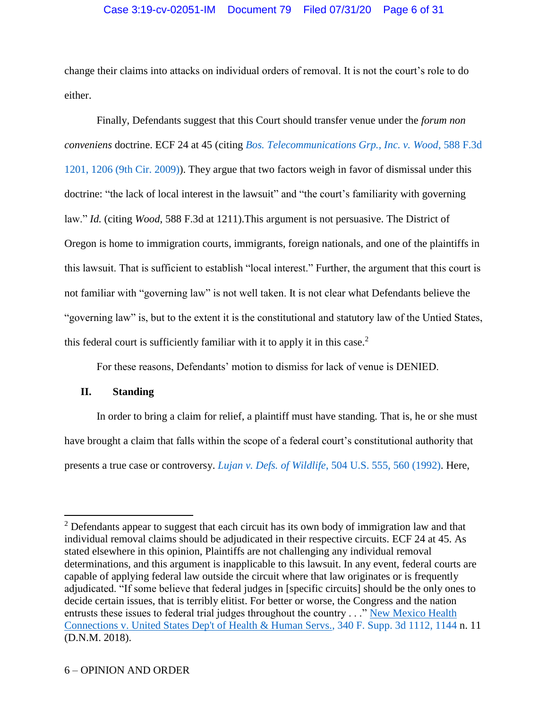# Case 3:19-cv-02051-IM Document 79 Filed 07/31/20 Page 6 of 31

change their claims into attacks on individual orders of removal. It is not the court's role to do either.

Finally, Defendants suggest that this Court should transfer venue under the *forum non conveniens* doctrine. ECF 24 at 45 (citing *[Bos. Telecommunications Grp., Inc. v. Wood](https://www.westlaw.com/Document/Ia6be9b5fe4d511deb08de1b7506ad85b/View/FullText.html?transitionType=Default&contextData=(sc.Default)&VR=3.0&RS=da3.0&fragmentIdentifier=co_pp_sp_506_1206)*, 588 F.3d [1201, 1206 \(9th Cir. 2009\)\)](https://www.westlaw.com/Document/Ia6be9b5fe4d511deb08de1b7506ad85b/View/FullText.html?transitionType=Default&contextData=(sc.Default)&VR=3.0&RS=da3.0&fragmentIdentifier=co_pp_sp_506_1206). They argue that two factors weigh in favor of dismissal under this doctrine: "the lack of local interest in the lawsuit" and "the court's familiarity with governing law." *Id.* (citing *Wood*, 588 F.3d at 1211).This argument is not persuasive. The District of Oregon is home to immigration courts, immigrants, foreign nationals, and one of the plaintiffs in this lawsuit. That is sufficient to establish "local interest." Further, the argument that this court is not familiar with "governing law" is not well taken. It is not clear what Defendants believe the "governing law" is, but to the extent it is the constitutional and statutory law of the Untied States, this federal court is sufficiently familiar with it to apply it in this case.<sup>2</sup>

For these reasons, Defendants' motion to dismiss for lack of venue is DENIED.

# **II. Standing**

 $\overline{a}$ 

In order to bring a claim for relief, a plaintiff must have standing. That is, he or she must have brought a claim that falls within the scope of a federal court's constitutional authority that presents a true case or controversy. *Lujan v. Defs. of Wildlife*[, 504 U.S. 555, 560 \(1992\).](https://www.westlaw.com/Document/I72e88d139c9a11d991d0cc6b54f12d4d/View/FullText.html?transitionType=Default&contextData=(sc.Default)&VR=3.0&RS=da3.0&fragmentIdentifier=co_pp_sp_780_560) Here,

<sup>&</sup>lt;sup>2</sup> Defendants appear to suggest that each circuit has its own body of immigration law and that individual removal claims should be adjudicated in their respective circuits. ECF 24 at 45. As stated elsewhere in this opinion, Plaintiffs are not challenging any individual removal determinations, and this argument is inapplicable to this lawsuit. In any event, federal courts are capable of applying federal law outside the circuit where that law originates or is frequently adjudicated. "If some believe that federal judges in [specific circuits] should be the only ones to decide certain issues, that is terribly elitist. For better or worse, the Congress and the nation entrusts these issues to federal trial judges throughout the country . . ." New Mexico Health [Connections v. United States Dep't of Health & Human Servs., 340 F. Supp. 3d 1112, 1144](https://www.westlaw.com/Document/Ic872c5d0d5d711e8aec5b23c3317c9c0/View/FullText.html?transitionType=Default&contextData=(sc.Default)&VR=3.0&RS=da3.0&fragmentIdentifier=co_pp_sp_7903_1144) n. 11 (D.N.M. 2018).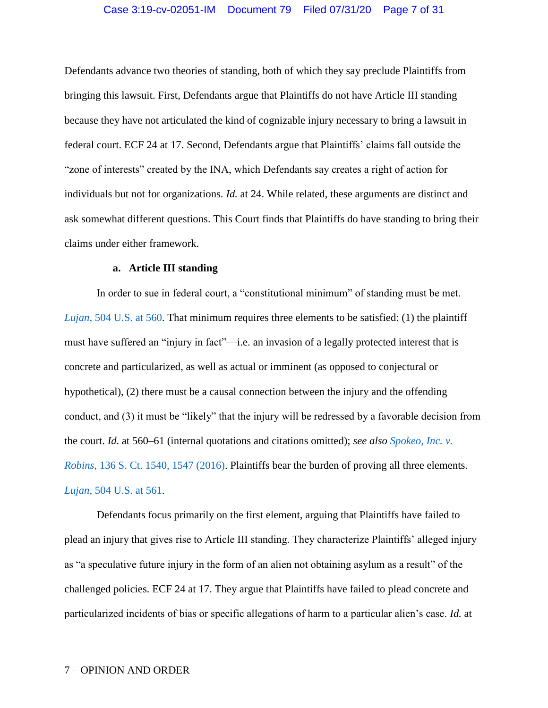# Case 3:19-cv-02051-IM Document 79 Filed 07/31/20 Page 7 of 31

Defendants advance two theories of standing, both of which they say preclude Plaintiffs from bringing this lawsuit. First, Defendants argue that Plaintiffs do not have Article III standing because they have not articulated the kind of cognizable injury necessary to bring a lawsuit in federal court. ECF 24 at 17. Second, Defendants argue that Plaintiffs' claims fall outside the "zone of interests" created by the INA, which Defendants say creates a right of action for individuals but not for organizations. *Id.* at 24. While related, these arguments are distinct and ask somewhat different questions. This Court finds that Plaintiffs do have standing to bring their claims under either framework.

### **a. Article III standing**

In order to sue in federal court, a "constitutional minimum" of standing must be met. *Lujan*, [504 U.S. at 560.](https://www.westlaw.com/Document/I72e88d139c9a11d991d0cc6b54f12d4d/View/FullText.html?transitionType=Default&contextData=(sc.Default)&VR=3.0&RS=da3.0&fragmentIdentifier=co_pp_sp_780_560) That minimum requires three elements to be satisfied: (1) the plaintiff must have suffered an "injury in fact"—i.e. an invasion of a legally protected interest that is concrete and particularized, as well as actual or imminent (as opposed to conjectural or hypothetical), (2) there must be a causal connection between the injury and the offending conduct, and (3) it must be "likely" that the injury will be redressed by a favorable decision from the court. *Id*. at 560–61 (internal quotations and citations omitted); *see also [Spokeo, Inc. v.](https://www.westlaw.com/Document/I041b593a1b6011e6a807ad48145ed9f1/View/FullText.html?transitionType=Default&contextData=(sc.Default)&VR=3.0&RS=da3.0&fragmentIdentifier=co_pp_sp_708_1547)  Robins*[, 136 S. Ct. 1540, 1547 \(2016\).](https://www.westlaw.com/Document/I041b593a1b6011e6a807ad48145ed9f1/View/FullText.html?transitionType=Default&contextData=(sc.Default)&VR=3.0&RS=da3.0&fragmentIdentifier=co_pp_sp_708_1547) Plaintiffs bear the burden of proving all three elements. *Lujan*[, 504 U.S. at 561.](https://www.westlaw.com/Document/I72e88d139c9a11d991d0cc6b54f12d4d/View/FullText.html?transitionType=Default&contextData=(sc.Default)&VR=3.0&RS=da3.0&fragmentIdentifier=co_pp_sp_780_561)

Defendants focus primarily on the first element, arguing that Plaintiffs have failed to plead an injury that gives rise to Article III standing. They characterize Plaintiffs' alleged injury as "a speculative future injury in the form of an alien not obtaining asylum as a result" of the challenged policies. ECF 24 at 17. They argue that Plaintiffs have failed to plead concrete and particularized incidents of bias or specific allegations of harm to a particular alien's case. *Id.* at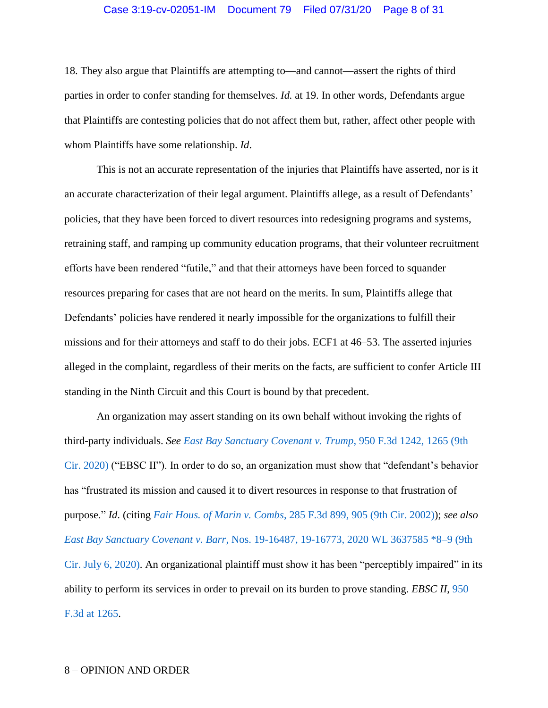# Case 3:19-cv-02051-IM Document 79 Filed 07/31/20 Page 8 of 31

18. They also argue that Plaintiffs are attempting to—and cannot—assert the rights of third parties in order to confer standing for themselves. *Id.* at 19. In other words, Defendants argue that Plaintiffs are contesting policies that do not affect them but, rather, affect other people with whom Plaintiffs have some relationship. *Id*.

This is not an accurate representation of the injuries that Plaintiffs have asserted, nor is it an accurate characterization of their legal argument. Plaintiffs allege, as a result of Defendants' policies, that they have been forced to divert resources into redesigning programs and systems, retraining staff, and ramping up community education programs, that their volunteer recruitment efforts have been rendered "futile," and that their attorneys have been forced to squander resources preparing for cases that are not heard on the merits. In sum, Plaintiffs allege that Defendants' policies have rendered it nearly impossible for the organizations to fulfill their missions and for their attorneys and staff to do their jobs. ECF1 at 46–53. The asserted injuries alleged in the complaint, regardless of their merits on the facts, are sufficient to confer Article III standing in the Ninth Circuit and this Court is bound by that precedent.

An organization may assert standing on its own behalf without invoking the rights of third-party individuals. *See [East Bay Sanctuary Covenant v. Trump](https://www.westlaw.com/Document/Ica3ffc605a6111eab72786abaf113578/View/FullText.html?transitionType=Default&contextData=(sc.Default)&VR=3.0&RS=da3.0&fragmentIdentifier=co_pp_sp_506_1265)*, 950 F.3d 1242, 1265 (9th [Cir. 2020\)](https://www.westlaw.com/Document/Ica3ffc605a6111eab72786abaf113578/View/FullText.html?transitionType=Default&contextData=(sc.Default)&VR=3.0&RS=da3.0&fragmentIdentifier=co_pp_sp_506_1265) ("EBSC II"). In order to do so, an organization must show that "defendant's behavior has "frustrated its mission and caused it to divert resources in response to that frustration of purpose." *Id*. (citing *Fair Hous. of Marin v. Combs*[, 285 F.3d 899, 905 \(9th Cir. 2002\)\)](https://www.westlaw.com/Document/Icfc16a5079d311d98c82a53fc8ac8757/View/FullText.html?transitionType=Default&contextData=(sc.Default)&VR=3.0&RS=da3.0&fragmentIdentifier=co_pp_sp_506_905); *see also East Bay Sanctuary Covenant v. Barr*[, Nos. 19-16487, 19-16773, 2020 WL 3637585 \\*8–9 \(9th](https://www.westlaw.com/Document/Id144cb20bfd411ea93a0cf5da1431849/View/FullText.html?transitionType=Default&contextData=(sc.Default)&VR=3.0&RS=da3.0&fragmentIdentifier=co_pp_sp_999_8)  [Cir. July 6, 2020\).](https://www.westlaw.com/Document/Id144cb20bfd411ea93a0cf5da1431849/View/FullText.html?transitionType=Default&contextData=(sc.Default)&VR=3.0&RS=da3.0&fragmentIdentifier=co_pp_sp_999_8) An organizational plaintiff must show it has been "perceptibly impaired" in its ability to perform its services in order to prevail on its burden to prove standing. *EBSC II*, [950](https://www.westlaw.com/Document/Ica3ffc605a6111eab72786abaf113578/View/FullText.html?transitionType=Default&contextData=(sc.Default)&VR=3.0&RS=da3.0)  [F.3d at 1265.](https://www.westlaw.com/Document/Ica3ffc605a6111eab72786abaf113578/View/FullText.html?transitionType=Default&contextData=(sc.Default)&VR=3.0&RS=da3.0)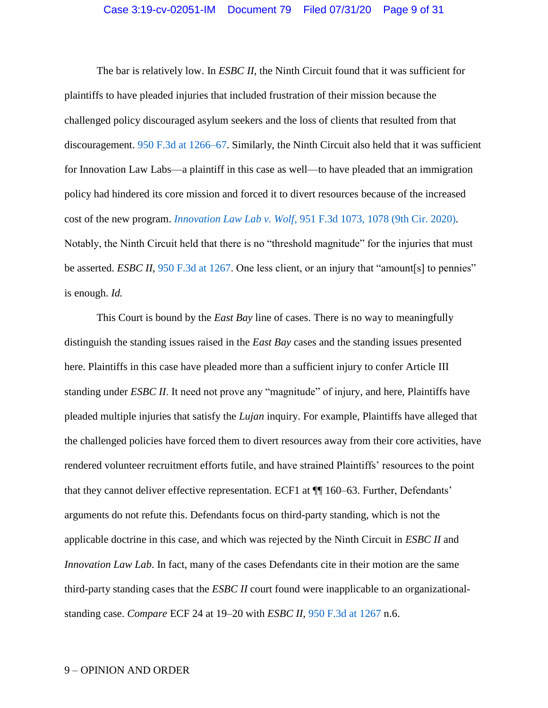The bar is relatively low. In *ESBC II*, the Ninth Circuit found that it was sufficient for plaintiffs to have pleaded injuries that included frustration of their mission because the challenged policy discouraged asylum seekers and the loss of clients that resulted from that discouragement. [950 F.3d at 1266–67.](https://www.westlaw.com/Document/Ica3ffc605a6111eab72786abaf113578/View/FullText.html?transitionType=Default&contextData=(sc.Default)&VR=3.0&RS=da3.0&fragmentIdentifier=co_pp_sp_506_1266) Similarly, the Ninth Circuit also held that it was sufficient for Innovation Law Labs—a plaintiff in this case as well—to have pleaded that an immigration policy had hindered its core mission and forced it to divert resources because of the increased cost of the new program. *Innovation Law Lab v. Wolf*[, 951 F.3d 1073, 1078 \(9th Cir. 2020\).](https://www.westlaw.com/Document/I8fe2c8305a7111ea851bfabee22f40c8/View/FullText.html?transitionType=Default&contextData=(sc.Default)&VR=3.0&RS=da3.0&fragmentIdentifier=co_pp_sp_506_1078) Notably, the Ninth Circuit held that there is no "threshold magnitude" for the injuries that must be asserted. *ESBC II*, [950 F.3d at 1267.](https://www.westlaw.com/Document/Ica3ffc605a6111eab72786abaf113578/View/FullText.html?transitionType=Default&contextData=(sc.Default)&VR=3.0&RS=da3.0) One less client, or an injury that "amount[s] to pennies" is enough. *Id.*

This Court is bound by the *East Bay* line of cases. There is no way to meaningfully distinguish the standing issues raised in the *East Bay* cases and the standing issues presented here. Plaintiffs in this case have pleaded more than a sufficient injury to confer Article III standing under *ESBC II*. It need not prove any "magnitude" of injury, and here, Plaintiffs have pleaded multiple injuries that satisfy the *Lujan* inquiry. For example, Plaintiffs have alleged that the challenged policies have forced them to divert resources away from their core activities, have rendered volunteer recruitment efforts futile, and have strained Plaintiffs' resources to the point that they cannot deliver effective representation. ECF1 at ¶¶ 160–63. Further, Defendants' arguments do not refute this. Defendants focus on third-party standing, which is not the applicable doctrine in this case, and which was rejected by the Ninth Circuit in *ESBC II* and *Innovation Law Lab*. In fact, many of the cases Defendants cite in their motion are the same third-party standing cases that the *ESBC II* court found were inapplicable to an organizationalstanding case. *Compare* ECF 24 at 19–20 with *ESBC II*, [950 F.3d at 1267](https://www.westlaw.com/Document/Ica3ffc605a6111eab72786abaf113578/View/FullText.html?transitionType=Default&contextData=(sc.Default)&VR=3.0&RS=da3.0) n.6.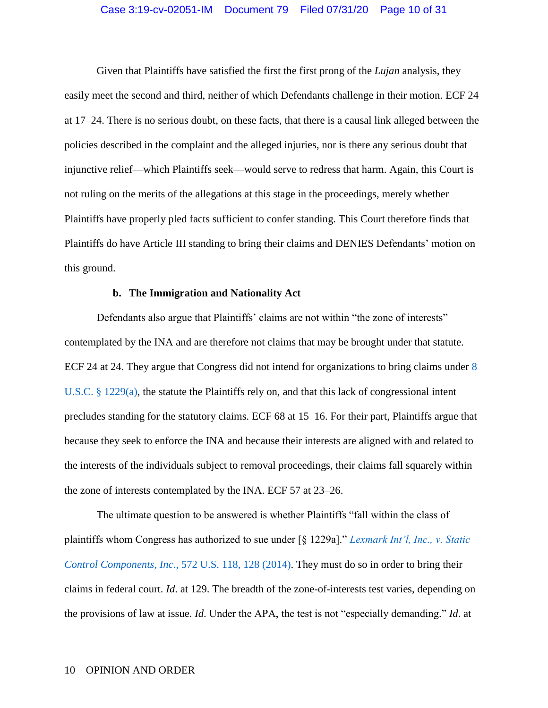# Case 3:19-cv-02051-IM Document 79 Filed 07/31/20 Page 10 of 31

Given that Plaintiffs have satisfied the first the first prong of the *Lujan* analysis, they easily meet the second and third, neither of which Defendants challenge in their motion. ECF 24 at 17–24. There is no serious doubt, on these facts, that there is a causal link alleged between the policies described in the complaint and the alleged injuries, nor is there any serious doubt that injunctive relief—which Plaintiffs seek—would serve to redress that harm. Again, this Court is not ruling on the merits of the allegations at this stage in the proceedings, merely whether Plaintiffs have properly pled facts sufficient to confer standing. This Court therefore finds that Plaintiffs do have Article III standing to bring their claims and DENIES Defendants' motion on this ground.

### **b. The Immigration and Nationality Act**

Defendants also argue that Plaintiffs' claims are not within "the zone of interests" contemplated by the INA and are therefore not claims that may be brought under that statute. ECF 24 at 24. They argue that Congress did not intend for organizations to bring claims under [8](https://www.westlaw.com/Document/NC1CA1910385311DBA787FCD7210A3BDA/View/FullText.html?transitionType=Default&contextData=(sc.Default)&VR=3.0&RS=da3.0)  [U.S.C. § 1229\(a\),](https://www.westlaw.com/Document/NC1CA1910385311DBA787FCD7210A3BDA/View/FullText.html?transitionType=Default&contextData=(sc.Default)&VR=3.0&RS=da3.0) the statute the Plaintiffs rely on, and that this lack of congressional intent precludes standing for the statutory claims. ECF 68 at 15–16. For their part, Plaintiffs argue that because they seek to enforce the INA and because their interests are aligned with and related to the interests of the individuals subject to removal proceedings, their claims fall squarely within the zone of interests contemplated by the INA. ECF 57 at 23–26.

The ultimate question to be answered is whether Plaintiffs "fall within the class of plaintiffs whom Congress has authorized to sue under [§ 1229a]." *[Lexmark Int'l, Inc., v. Static](https://www.westlaw.com/Document/Ice0811f8b3fd11e3a341ea44e5e1f25f/View/FullText.html?transitionType=Default&contextData=(sc.Default)&VR=3.0&RS=da3.0&fragmentIdentifier=co_pp_sp_780_128)  Control Components, Inc*[., 572 U.S. 118, 128 \(2014\).](https://www.westlaw.com/Document/Ice0811f8b3fd11e3a341ea44e5e1f25f/View/FullText.html?transitionType=Default&contextData=(sc.Default)&VR=3.0&RS=da3.0&fragmentIdentifier=co_pp_sp_780_128) They must do so in order to bring their claims in federal court. *Id*. at 129. The breadth of the zone-of-interests test varies, depending on the provisions of law at issue. *Id*. Under the APA, the test is not "especially demanding." *Id*. at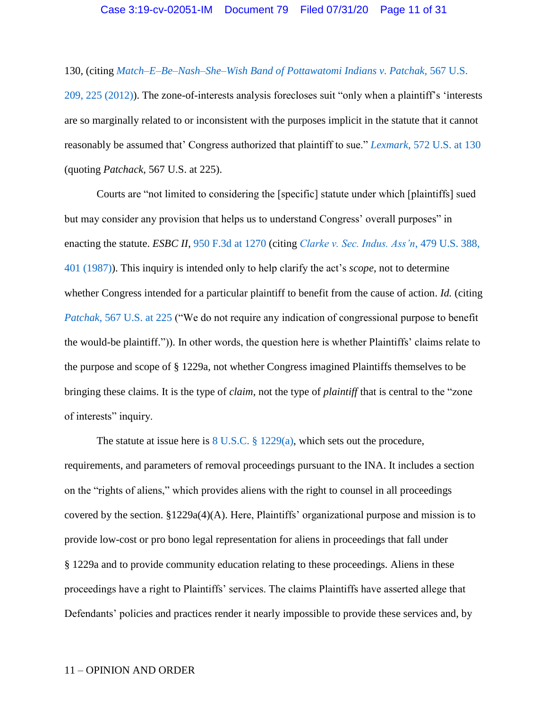130, (citing *[Match–E–Be–Nash–She–Wish Band of Pottawatomi Indians v. Patchak,](https://www.westlaw.com/Document/Ie07d9316b94a11e1b66bbd5332e2d275/View/FullText.html?transitionType=Default&contextData=(sc.Default)&VR=3.0&RS=da3.0&fragmentIdentifier=co_pp_sp_780_225)* 567 U.S. [209, 225 \(2012\)\)](https://www.westlaw.com/Document/Ie07d9316b94a11e1b66bbd5332e2d275/View/FullText.html?transitionType=Default&contextData=(sc.Default)&VR=3.0&RS=da3.0&fragmentIdentifier=co_pp_sp_780_225). The zone-of-interests analysis forecloses suit "only when a plaintiff's 'interests are so marginally related to or inconsistent with the purposes implicit in the statute that it cannot reasonably be assumed that' Congress authorized that plaintiff to sue." *Lexmark*[, 572 U.S. at 130](https://www.westlaw.com/Document/Ice0811f8b3fd11e3a341ea44e5e1f25f/View/FullText.html?transitionType=Default&contextData=(sc.Default)&VR=3.0&RS=da3.0&fragmentIdentifier=co_pp_sp_780_130)  (quoting *Patchack*, 567 U.S. at 225).

Courts are "not limited to considering the [specific] statute under which [plaintiffs] sued but may consider any provision that helps us to understand Congress' overall purposes" in enacting the statute. *ESBC II*, [950 F.3d at 1270](https://www.westlaw.com/Document/Ica3ffc605a6111eab72786abaf113578/View/FullText.html?transitionType=Default&contextData=(sc.Default)&VR=3.0&RS=da3.0) (citing *[Clarke v. Sec. Indus. Ass'n](https://www.westlaw.com/Document/I178d36739c1f11d993e6d35cc61aab4a/View/FullText.html?transitionType=Default&contextData=(sc.Default)&VR=3.0&RS=da3.0&fragmentIdentifier=co_pp_sp_780_401)*, 479 U.S. 388, [401 \(1987\)\)](https://www.westlaw.com/Document/I178d36739c1f11d993e6d35cc61aab4a/View/FullText.html?transitionType=Default&contextData=(sc.Default)&VR=3.0&RS=da3.0&fragmentIdentifier=co_pp_sp_780_401). This inquiry is intended only to help clarify the act's *scope*, not to determine whether Congress intended for a particular plaintiff to benefit from the cause of action. *Id.* (citing *Patchak*, [567 U.S. at 225](https://www.westlaw.com/Document/Ie07d9316b94a11e1b66bbd5332e2d275/View/FullText.html?transitionType=Default&contextData=(sc.Default)&VR=3.0&RS=da3.0&fragmentIdentifier=co_pp_sp_780_225) ("We do not require any indication of congressional purpose to benefit the would-be plaintiff.")). In other words, the question here is whether Plaintiffs' claims relate to the purpose and scope of § 1229a, not whether Congress imagined Plaintiffs themselves to be bringing these claims. It is the type of *claim*, not the type of *plaintiff* that is central to the "zone of interests" inquiry.

The statute at issue here is  $8 \text{ U.S.C. } § 1229(a)$ , which sets out the procedure, requirements, and parameters of removal proceedings pursuant to the INA. It includes a section on the "rights of aliens," which provides aliens with the right to counsel in all proceedings covered by the section. §1229a(4)(A). Here, Plaintiffs' organizational purpose and mission is to provide low-cost or pro bono legal representation for aliens in proceedings that fall under § 1229a and to provide community education relating to these proceedings. Aliens in these proceedings have a right to Plaintiffs' services. The claims Plaintiffs have asserted allege that Defendants' policies and practices render it nearly impossible to provide these services and, by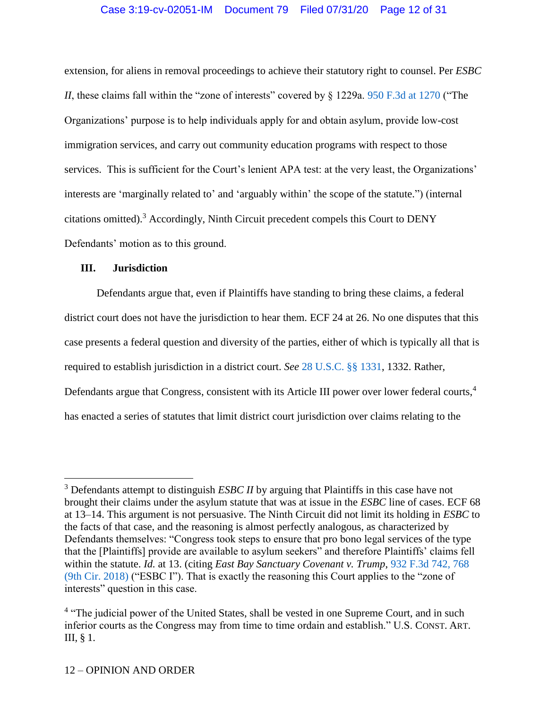extension, for aliens in removal proceedings to achieve their statutory right to counsel. Per *ESBC II*, these claims fall within the "zone of interests" covered by § 1229a. [950 F.3d at 1270](https://www.westlaw.com/Document/Ica3ffc605a6111eab72786abaf113578/View/FullText.html?transitionType=Default&contextData=(sc.Default)&VR=3.0&RS=da3.0&fragmentIdentifier=co_pp_sp_506_1270) ("The Organizations' purpose is to help individuals apply for and obtain asylum, provide low-cost immigration services, and carry out community education programs with respect to those services. This is sufficient for the Court's lenient APA test: at the very least, the Organizations' interests are 'marginally related to' and 'arguably within' the scope of the statute.") (internal citations omitted).<sup>3</sup> Accordingly, Ninth Circuit precedent compels this Court to DENY Defendants' motion as to this ground.

# **III. Jurisdiction**

 $\overline{a}$ 

Defendants argue that, even if Plaintiffs have standing to bring these claims, a federal district court does not have the jurisdiction to hear them. ECF 24 at 26. No one disputes that this case presents a federal question and diversity of the parties, either of which is typically all that is required to establish jurisdiction in a district court. *See* [28 U.S.C. §§ 1331,](https://www.westlaw.com/Document/NCC2763E0A35911D88B25BBE406C5D950/View/FullText.html?transitionType=Default&contextData=(sc.Default)&VR=3.0&RS=da3.0) 1332. Rather, Defendants argue that Congress, consistent with its Article III power over lower federal courts,<sup>4</sup> has enacted a series of statutes that limit district court jurisdiction over claims relating to the

<sup>&</sup>lt;sup>3</sup> Defendants attempt to distinguish *ESBC II* by arguing that Plaintiffs in this case have not brought their claims under the asylum statute that was at issue in the *ESBC* line of cases. ECF 68 at 13–14. This argument is not persuasive. The Ninth Circuit did not limit its holding in *ESBC* to the facts of that case, and the reasoning is almost perfectly analogous, as characterized by Defendants themselves: "Congress took steps to ensure that pro bono legal services of the type that the [Plaintiffs] provide are available to asylum seekers" and therefore Plaintiffs' claims fell within the statute. *Id.* at 13. (citing *East Bay Sanctuary Covenant v. Trump*, [932 F.3d 742, 768](https://www.westlaw.com/Document/I96303d60ae3e11e998e8870e22e55653/View/FullText.html?transitionType=Default&contextData=(sc.Default)&VR=3.0&RS=da3.0&fragmentIdentifier=co_pp_sp_506_h+C)  [\(9th Cir. 2018\)](https://www.westlaw.com/Document/I96303d60ae3e11e998e8870e22e55653/View/FullText.html?transitionType=Default&contextData=(sc.Default)&VR=3.0&RS=da3.0&fragmentIdentifier=co_pp_sp_506_h+C) ("ESBC I"). That is exactly the reasoning this Court applies to the "zone of interests" question in this case.

<sup>&</sup>lt;sup>4</sup> "The judicial power of the United States, shall be vested in one Supreme Court, and in such inferior courts as the Congress may from time to time ordain and establish." U.S. CONST. ART. III, § 1.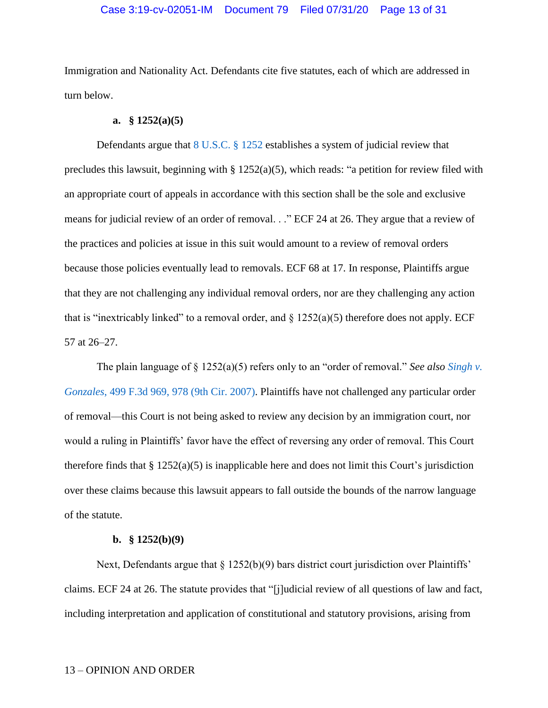# Case 3:19-cv-02051-IM Document 79 Filed 07/31/20 Page 13 of 31

Immigration and Nationality Act. Defendants cite five statutes, each of which are addressed in turn below.

### **a. § 1252(a)(5)**

Defendants argue that [8 U.S.C. § 1252](https://www.westlaw.com/Document/N6DA60B40D3B511D9B9348E3FD7EA6B83/View/FullText.html?transitionType=Default&contextData=(sc.Default)&VR=3.0&RS=da3.0) establishes a system of judicial review that precludes this lawsuit, beginning with § 1252(a)(5), which reads: "a petition for review filed with an appropriate court of appeals in accordance with this section shall be the sole and exclusive means for judicial review of an order of removal. . ." ECF 24 at 26. They argue that a review of the practices and policies at issue in this suit would amount to a review of removal orders because those policies eventually lead to removals. ECF 68 at 17. In response, Plaintiffs argue that they are not challenging any individual removal orders, nor are they challenging any action that is "inextricably linked" to a removal order, and  $\S$  1252(a)(5) therefore does not apply. ECF 57 at 26–27.

The plain language of § 1252(a)(5) refers only to an "order of removal." *See also [Singh v.](https://www.westlaw.com/Document/I7306528852d811dc8200d0063168b01f/View/FullText.html?transitionType=Default&contextData=(sc.Default)&VR=3.0&RS=da3.0&fragmentIdentifier=co_pp_sp_506_968)  Gonzales*[, 499 F.3d 969, 978 \(9th Cir. 2007\).](https://www.westlaw.com/Document/I7306528852d811dc8200d0063168b01f/View/FullText.html?transitionType=Default&contextData=(sc.Default)&VR=3.0&RS=da3.0&fragmentIdentifier=co_pp_sp_506_968) Plaintiffs have not challenged any particular order of removal—this Court is not being asked to review any decision by an immigration court, nor would a ruling in Plaintiffs' favor have the effect of reversing any order of removal. This Court therefore finds that  $\S 1252(a)(5)$  is inapplicable here and does not limit this Court's jurisdiction over these claims because this lawsuit appears to fall outside the bounds of the narrow language of the statute.

### **b. § 1252(b)(9)**

Next, Defendants argue that § 1252(b)(9) bars district court jurisdiction over Plaintiffs' claims. ECF 24 at 26. The statute provides that "[j]udicial review of all questions of law and fact, including interpretation and application of constitutional and statutory provisions, arising from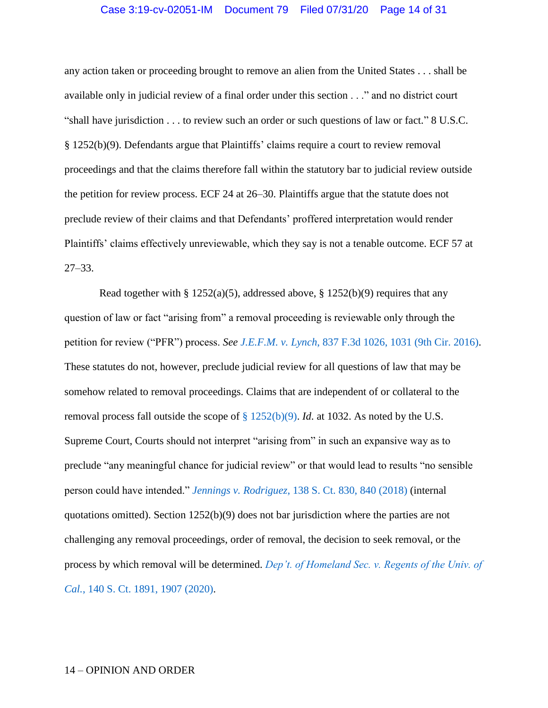#### Case 3:19-cv-02051-IM Document 79 Filed 07/31/20 Page 14 of 31

any action taken or proceeding brought to remove an alien from the United States . . . shall be available only in judicial review of a final order under this section . . ." and no district court "shall have jurisdiction . . . to review such an order or such questions of law or fact." 8 U.S.C. § 1252(b)(9). Defendants argue that Plaintiffs' claims require a court to review removal proceedings and that the claims therefore fall within the statutory bar to judicial review outside the petition for review process. ECF 24 at 26–30. Plaintiffs argue that the statute does not preclude review of their claims and that Defendants' proffered interpretation would render Plaintiffs' claims effectively unreviewable, which they say is not a tenable outcome. ECF 57 at 27–33.

Read together with § 1252(a)(5), addressed above, § 1252(b)(9) requires that any question of law or fact "arising from" a removal proceeding is reviewable only through the petition for review ("PFR") process. *See J.E.F.M. v. Lynch*[, 837 F.3d 1026, 1031 \(9th Cir. 2016\).](https://www.westlaw.com/Document/I1b8331a07f9b11e69e6ceb9009bbadab/View/FullText.html?transitionType=Default&contextData=(sc.Default)&VR=3.0&RS=da3.0&fragmentIdentifier=co_pp_sp_506_1031) These statutes do not, however, preclude judicial review for all questions of law that may be somehow related to removal proceedings. Claims that are independent of or collateral to the removal process fall outside the scope of [§ 1252\(b\)\(9\).](https://www.westlaw.com/Document/N6DA60B40D3B511D9B9348E3FD7EA6B83/View/FullText.html?transitionType=Default&contextData=(sc.Default)&VR=3.0&RS=da3.0) *Id*. at 1032. As noted by the U.S. Supreme Court, Courts should not interpret "arising from" in such an expansive way as to preclude "any meaningful chance for judicial review" or that would lead to results "no sensible person could have intended." *Jennings v. Rodriguez*[, 138 S. Ct. 830, 840 \(2018\)](https://www.westlaw.com/Document/I74b7f6541bd411e8a7a8babcb3077f93/View/FullText.html?transitionType=Default&contextData=(sc.Default)&VR=3.0&RS=da3.0&fragmentIdentifier=co_pp_sp_708_840) (internal quotations omitted). Section 1252(b)(9) does not bar jurisdiction where the parties are not challenging any removal proceedings, order of removal, the decision to seek removal, or the process by which removal will be determined. *[Dep't. of Homeland Sec. v. Regents of the Univ. of](https://www.westlaw.com/Document/If0b07751b16911eaa4a6da07b08de5cd/View/FullText.html?transitionType=Default&contextData=(sc.Default)&VR=3.0&RS=da3.0)  Cal.*, 140 [S. Ct. 1891, 1907](https://www.westlaw.com/Document/If0b07751b16911eaa4a6da07b08de5cd/View/FullText.html?transitionType=Default&contextData=(sc.Default)&VR=3.0&RS=da3.0) (2020).

#### 14 – OPINION AND ORDER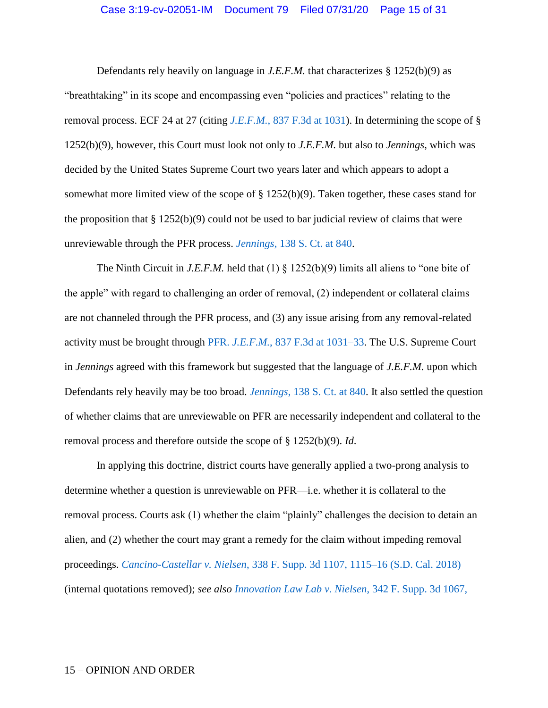# Case 3:19-cv-02051-IM Document 79 Filed 07/31/20 Page 15 of 31

Defendants rely heavily on language in *J.E.F.M.* that characterizes § 1252(b)(9) as "breathtaking" in its scope and encompassing even "policies and practices" relating to the removal process. ECF 24 at 27 (citing *J.E.F.M.*[, 837 F.3d at 1031\)](https://www.westlaw.com/Document/I1b8331a07f9b11e69e6ceb9009bbadab/View/FullText.html?transitionType=Default&contextData=(sc.Default)&VR=3.0&RS=da3.0&fragmentIdentifier=co_pp_sp_506_1031). In determining the scope of § 1252(b)(9), however, this Court must look not only to *J.E.F.M.* but also to *Jennings*, which was decided by the United States Supreme Court two years later and which appears to adopt a somewhat more limited view of the scope of § 1252(b)(9). Taken together, these cases stand for the proposition that  $\S 1252(b)(9)$  could not be used to bar judicial review of claims that were unreviewable through the PFR process. *Jennings*[, 138 S. Ct. at 840.](https://www.westlaw.com/Document/I74b7f6541bd411e8a7a8babcb3077f93/View/FullText.html?transitionType=Default&contextData=(sc.Default)&VR=3.0&RS=da3.0&fragmentIdentifier=co_pp_sp_708_840)

The Ninth Circuit in *J.E.F.M.* held that (1)  $\S$  1252(b)(9) limits all aliens to "one bite of the apple" with regard to challenging an order of removal, (2) independent or collateral claims are not channeled through the PFR process, and (3) any issue arising from any removal-related activity must be brought through PFR. *J.E.F.M.*[, 837 F.3d at 1031–33.](https://www.westlaw.com/Document/I1b8331a07f9b11e69e6ceb9009bbadab/View/FullText.html?transitionType=Default&contextData=(sc.Default)&VR=3.0&RS=da3.0&fragmentIdentifier=co_pp_sp_506_1031) The U.S. Supreme Court in *Jennings* agreed with this framework but suggested that the language of *J.E.F.M.* upon which Defendants rely heavily may be too broad. *Jennings*[, 138 S. Ct. at 840.](https://www.westlaw.com/Document/I74b7f6541bd411e8a7a8babcb3077f93/View/FullText.html?transitionType=Default&contextData=(sc.Default)&VR=3.0&RS=da3.0&fragmentIdentifier=co_pp_sp_708_840) It also settled the question of whether claims that are unreviewable on PFR are necessarily independent and collateral to the removal process and therefore outside the scope of § 1252(b)(9). *Id*.

In applying this doctrine, district courts have generally applied a two-prong analysis to determine whether a question is unreviewable on PFR—i.e. whether it is collateral to the removal process. Courts ask (1) whether the claim "plainly" challenges the decision to detain an alien, and (2) whether the court may grant a remedy for the claim without impeding removal proceedings. *Cancino-Castellar v. Nielsen*[, 338 F. Supp. 3d 1107, 1115–16 \(S.D. Cal. 2018\)](https://www.westlaw.com/Document/I1bbae2f0b25f11e8ae6bb4b0ae8dca5a/View/FullText.html?transitionType=Default&contextData=(sc.Default)&VR=3.0&RS=da3.0&fragmentIdentifier=co_pp_sp_7903_1115) (internal quotations removed); *see also [Innovation Law Lab v. Nielsen](https://www.westlaw.com/Document/Iaedaab20956211e89b71ea0c471daf33/View/FullText.html?transitionType=Default&contextData=(sc.Default)&VR=3.0&RS=da3.0&fragmentIdentifier=co_pp_sp_7903_1077)*, 342 F. Supp. 3d 1067,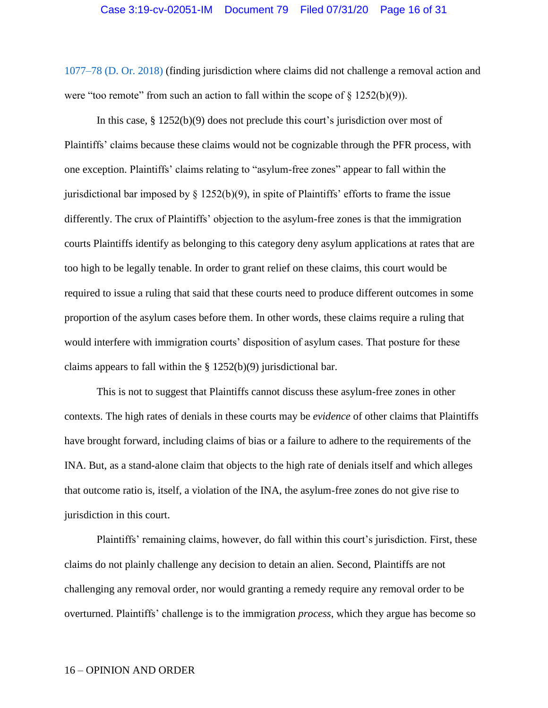[1077–78 \(D. Or. 2018\)](https://www.westlaw.com/Document/Iaedaab20956211e89b71ea0c471daf33/View/FullText.html?transitionType=Default&contextData=(sc.Default)&VR=3.0&RS=da3.0&fragmentIdentifier=co_pp_sp_7903_1077) (finding jurisdiction where claims did not challenge a removal action and were "too remote" from such an action to fall within the scope of  $\S 1252(b)(9)$ ).

In this case, § 1252(b)(9) does not preclude this court's jurisdiction over most of Plaintiffs' claims because these claims would not be cognizable through the PFR process, with one exception. Plaintiffs' claims relating to "asylum-free zones" appear to fall within the jurisdictional bar imposed by § 1252(b)(9), in spite of Plaintiffs' efforts to frame the issue differently. The crux of Plaintiffs' objection to the asylum-free zones is that the immigration courts Plaintiffs identify as belonging to this category deny asylum applications at rates that are too high to be legally tenable. In order to grant relief on these claims, this court would be required to issue a ruling that said that these courts need to produce different outcomes in some proportion of the asylum cases before them. In other words, these claims require a ruling that would interfere with immigration courts' disposition of asylum cases. That posture for these claims appears to fall within the § 1252(b)(9) jurisdictional bar.

This is not to suggest that Plaintiffs cannot discuss these asylum-free zones in other contexts. The high rates of denials in these courts may be *evidence* of other claims that Plaintiffs have brought forward, including claims of bias or a failure to adhere to the requirements of the INA. But, as a stand-alone claim that objects to the high rate of denials itself and which alleges that outcome ratio is, itself, a violation of the INA, the asylum-free zones do not give rise to jurisdiction in this court.

Plaintiffs' remaining claims, however, do fall within this court's jurisdiction. First, these claims do not plainly challenge any decision to detain an alien. Second, Plaintiffs are not challenging any removal order, nor would granting a remedy require any removal order to be overturned. Plaintiffs' challenge is to the immigration *process*, which they argue has become so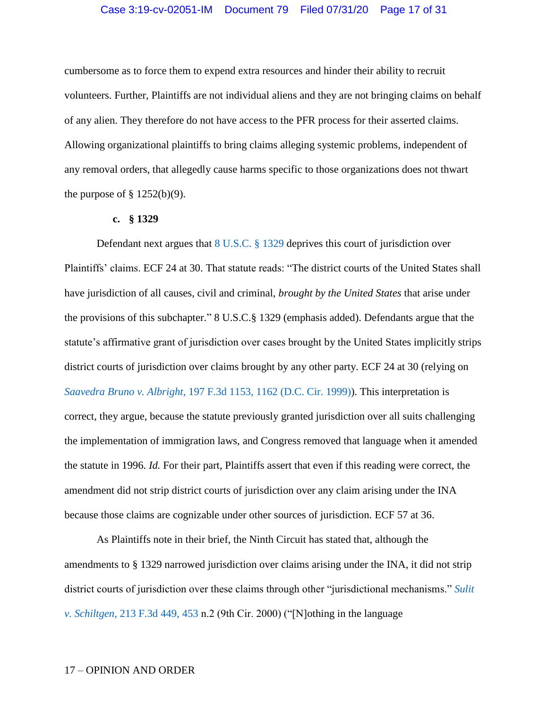# Case 3:19-cv-02051-IM Document 79 Filed 07/31/20 Page 17 of 31

cumbersome as to force them to expend extra resources and hinder their ability to recruit volunteers. Further, Plaintiffs are not individual aliens and they are not bringing claims on behalf of any alien. They therefore do not have access to the PFR process for their asserted claims. Allowing organizational plaintiffs to bring claims alleging systemic problems, independent of any removal orders, that allegedly cause harms specific to those organizations does not thwart the purpose of  $\S$  1252(b)(9).

#### **c. § 1329**

Defendant next argues that [8 U.S.C. § 1329](https://www.westlaw.com/Document/N5FEC5410A35911D8B9DE9866EEAFC42E/View/FullText.html?transitionType=Default&contextData=(sc.Default)&VR=3.0&RS=da3.0) deprives this court of jurisdiction over Plaintiffs' claims. ECF 24 at 30. That statute reads: "The district courts of the United States shall have jurisdiction of all causes, civil and criminal, *brought by the United States* that arise under the provisions of this subchapter." 8 U.S.C.§ 1329 (emphasis added). Defendants argue that the statute's affirmative grant of jurisdiction over cases brought by the United States implicitly strips district courts of jurisdiction over claims brought by any other party. ECF 24 at 30 (relying on *Saavedra Bruno v. Albright*[, 197 F.3d 1153, 1162 \(D.C. Cir. 1999\)\)](https://www.westlaw.com/Document/I2895ceab94b811d9bdd1cfdd544ca3a4/View/FullText.html?transitionType=Default&contextData=(sc.Default)&VR=3.0&RS=da3.0&fragmentIdentifier=co_pp_sp_506_1162). This interpretation is correct, they argue, because the statute previously granted jurisdiction over all suits challenging the implementation of immigration laws, and Congress removed that language when it amended the statute in 1996. *Id.* For their part, Plaintiffs assert that even if this reading were correct, the amendment did not strip district courts of jurisdiction over any claim arising under the INA because those claims are cognizable under other sources of jurisdiction. ECF 57 at 36.

As Plaintiffs note in their brief, the Ninth Circuit has stated that, although the amendments to § 1329 narrowed jurisdiction over claims arising under the INA, it did not strip district courts of jurisdiction over these claims through other "jurisdictional mechanisms." *[Sulit](https://www.westlaw.com/Document/Id3412982798311d99c4dbb2f0352441d/View/FullText.html?transitionType=Default&contextData=(sc.Default)&VR=3.0&RS=da3.0&fragmentIdentifier=co_pp_sp_506_453)  v. Schiltgen*[, 213 F.3d 449, 453](https://www.westlaw.com/Document/Id3412982798311d99c4dbb2f0352441d/View/FullText.html?transitionType=Default&contextData=(sc.Default)&VR=3.0&RS=da3.0&fragmentIdentifier=co_pp_sp_506_453) n.2 (9th Cir. 2000) ("[N]othing in the language

#### 17 – OPINION AND ORDER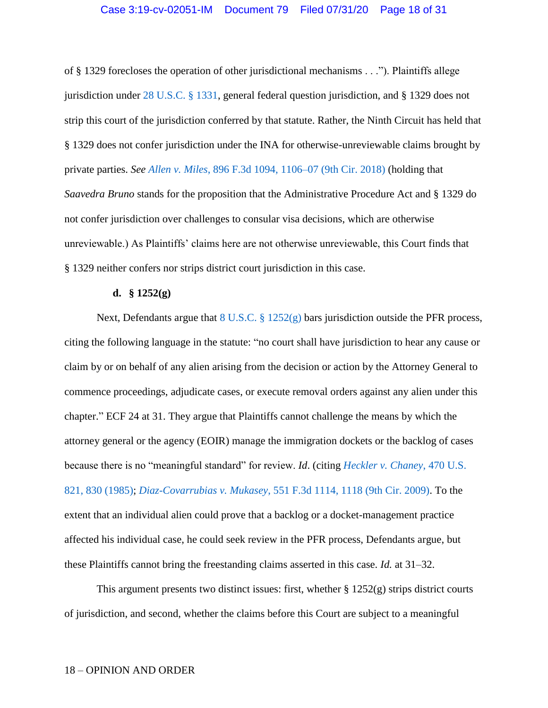of § 1329 forecloses the operation of other jurisdictional mechanisms . . ."). Plaintiffs allege jurisdiction under [28 U.S.C. § 1331,](https://www.westlaw.com/Document/NCC2763E0A35911D88B25BBE406C5D950/View/FullText.html?transitionType=Default&contextData=(sc.Default)&VR=3.0&RS=da3.0) general federal question jurisdiction, and § 1329 does not strip this court of the jurisdiction conferred by that statute. Rather, the Ninth Circuit has held that § 1329 does not confer jurisdiction under the INA for otherwise-unreviewable claims brought by private parties. *See Allen v. Miles*[, 896 F.3d 1094, 1106–07 \(9th Cir. 2018\)](https://www.westlaw.com/Document/I05b46f208f6511e8b29df1bcacd7c41c/View/FullText.html?transitionType=Default&contextData=(sc.Default)&VR=3.0&RS=da3.0&fragmentIdentifier=co_pp_sp_506_1106) (holding that *Saavedra Bruno* stands for the proposition that the Administrative Procedure Act and § 1329 do not confer jurisdiction over challenges to consular visa decisions, which are otherwise unreviewable.) As Plaintiffs' claims here are not otherwise unreviewable, this Court finds that § 1329 neither confers nor strips district court jurisdiction in this case.

#### **d. § 1252(g)**

Next, Defendants argue that  $8 \text{ U.S.C.} \$ § 1252(g) bars jurisdiction outside the PFR process, citing the following language in the statute: "no court shall have jurisdiction to hear any cause or claim by or on behalf of any alien arising from the decision or action by the Attorney General to commence proceedings, adjudicate cases, or execute removal orders against any alien under this chapter." ECF 24 at 31. They argue that Plaintiffs cannot challenge the means by which the attorney general or the agency (EOIR) manage the immigration dockets or the backlog of cases because there is no "meaningful standard" for review. *Id*. (citing *[Heckler v. Chaney](https://www.westlaw.com/Document/I1d1fac349c9711d993e6d35cc61aab4a/View/FullText.html?transitionType=Default&contextData=(sc.Default)&VR=3.0&RS=da3.0&fragmentIdentifier=co_pp_sp_780_830)*, 470 U.S. [821, 830 \(1985\);](https://www.westlaw.com/Document/I1d1fac349c9711d993e6d35cc61aab4a/View/FullText.html?transitionType=Default&contextData=(sc.Default)&VR=3.0&RS=da3.0&fragmentIdentifier=co_pp_sp_780_830) *Diaz-Covarrubias v. Mukasey*[, 551 F.3d 1114, 1118 \(9th Cir. 2009\).](https://www.westlaw.com/Document/I771951b9de7911ddb77d9846f86fae5c/View/FullText.html?transitionType=Default&contextData=(sc.Default)&VR=3.0&RS=da3.0&fragmentIdentifier=co_pp_sp_506_1118) To the extent that an individual alien could prove that a backlog or a docket-management practice affected his individual case, he could seek review in the PFR process, Defendants argue, but these Plaintiffs cannot bring the freestanding claims asserted in this case. *Id.* at 31–32.

This argument presents two distinct issues: first, whether  $\S 1252(g)$  strips district courts of jurisdiction, and second, whether the claims before this Court are subject to a meaningful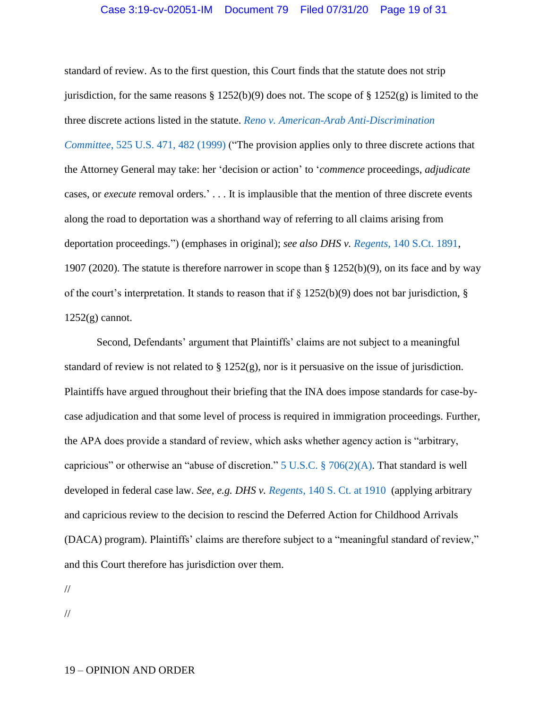## Case 3:19-cv-02051-IM Document 79 Filed 07/31/20 Page 19 of 31

standard of review. As to the first question, this Court finds that the statute does not strip jurisdiction, for the same reasons  $\S 1252(b)(9)$  does not. The scope of  $\S 1252(g)$  is limited to the three discrete actions listed in the statute. *[Reno v. American-Arab Anti-Discrimination](https://www.westlaw.com/Document/Ibde1438c9c2511d9bc61beebb95be672/View/FullText.html?transitionType=Default&contextData=(sc.Default)&VR=3.0&RS=da3.0&fragmentIdentifier=co_pp_sp_780_481)  Committee*[, 525 U.S. 471, 482](https://www.westlaw.com/Document/Ibde1438c9c2511d9bc61beebb95be672/View/FullText.html?transitionType=Default&contextData=(sc.Default)&VR=3.0&RS=da3.0&fragmentIdentifier=co_pp_sp_780_481) (1999) ("The provision applies only to three discrete actions that the Attorney General may take: her 'decision or action' to '*commence* proceedings, *adjudicate* cases, or *execute* removal orders.' . . . It is implausible that the mention of three discrete events along the road to deportation was a shorthand way of referring to all claims arising from deportation proceedings.") (emphases in original); *see also DHS v. Regents*[, 140 S.Ct. 1891,](https://www.westlaw.com/Document/If0b07751b16911eaa4a6da07b08de5cd/View/FullText.html?transitionType=Default&contextData=(sc.Default)&VR=3.0&RS=da3.0) 1907 (2020). The statute is therefore narrower in scope than § 1252(b)(9), on its face and by way of the court's interpretation. It stands to reason that if  $\S$  1252(b)(9) does not bar jurisdiction,  $\S$  $1252(g)$  cannot.

Second, Defendants' argument that Plaintiffs' claims are not subject to a meaningful standard of review is not related to  $\S 1252(g)$ , nor is it persuasive on the issue of jurisdiction. Plaintiffs have argued throughout their briefing that the INA does impose standards for case-bycase adjudication and that some level of process is required in immigration proceedings. Further, the APA does provide a standard of review, which asks whether agency action is "arbitrary, capricious" or otherwise an "abuse of discretion." [5 U.S.C. § 706\(2\)\(A\).](https://www.westlaw.com/Document/NB66076C0A84311D885E288E02FD16EE7/View/FullText.html?transitionType=Default&contextData=(sc.Default)&VR=3.0&RS=da3.0) That standard is well developed in federal case law. *See, e.g. DHS v. Regents*[, 140 S. Ct.](https://www.westlaw.com/Document/If0b07751b16911eaa4a6da07b08de5cd/View/FullText.html?transitionType=Default&contextData=(sc.Default)&VR=3.0&RS=da3.0) at 1910 (applying arbitrary and capricious review to the decision to rescind the Deferred Action for Childhood Arrivals (DACA) program). Plaintiffs' claims are therefore subject to a "meaningful standard of review," and this Court therefore has jurisdiction over them.

//

//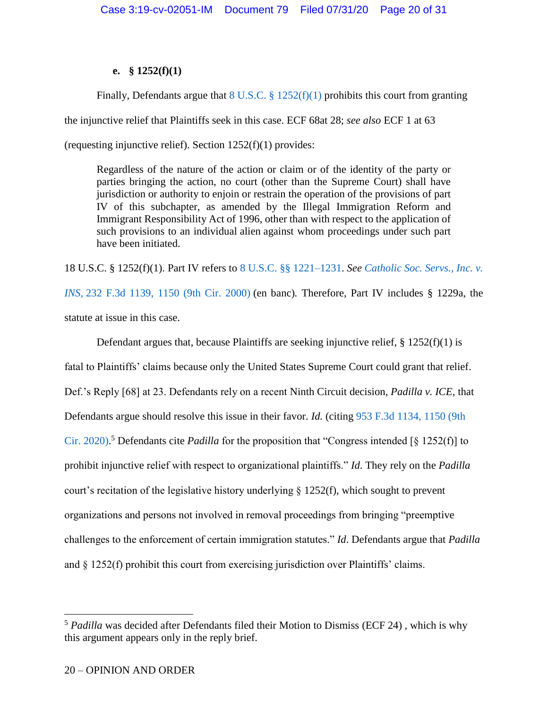# **e. § 1252(f)(1)**

Finally, Defendants argue that  $8 \text{ U.S.C.}$   $\S 1252(f)(1)$  prohibits this court from granting the injunctive relief that Plaintiffs seek in this case. ECF 68at 28; *see also* ECF 1 at 63 (requesting injunctive relief). Section 1252(f)(1) provides:

Regardless of the nature of the action or claim or of the identity of the party or parties bringing the action, no court (other than the Supreme Court) shall have jurisdiction or authority to enjoin or restrain the operation of the provisions of part IV of this subchapter, as amended by the Illegal Immigration Reform and Immigrant Responsibility Act of 1996, other than with respect to the application of such provisions to an individual alien against whom proceedings under such part have been initiated.

18 U.S.C. § 1252(f)(1). Part IV refers to [8 U.S.C. §§ 1221–1231.](https://www.westlaw.com/Document/N5FBC9180A35911D8B9DE9866EEAFC42E/View/FullText.html?transitionType=Default&contextData=(sc.Default)&VR=3.0&RS=da3.0) *See [Catholic Soc. Servs., Inc. v.](https://www.westlaw.com/Document/I94db21db799411d99c4dbb2f0352441d/View/FullText.html?transitionType=Default&contextData=(sc.Default)&VR=3.0&RS=da3.0&fragmentIdentifier=co_pp_sp_506_1150)  INS,* 232 F.3d [1139, 1150 \(9th Cir.](https://www.westlaw.com/Document/I94db21db799411d99c4dbb2f0352441d/View/FullText.html?transitionType=Default&contextData=(sc.Default)&VR=3.0&RS=da3.0&fragmentIdentifier=co_pp_sp_506_1150) 2000) (en banc)*.* Therefore, Part IV includes § 1229a, the statute at issue in this case.

Defendant argues that, because Plaintiffs are seeking injunctive relief,  $\S 1252(f)(1)$  is fatal to Plaintiffs' claims because only the United States Supreme Court could grant that relief. Def.'s Reply [68] at 23. Defendants rely on a recent Ninth Circuit decision, *Padilla v. ICE*, that Defendants argue should resolve this issue in their favor. *Id.* (citing [953 F.3d 1134, 1150 \(9th](https://www.westlaw.com/Document/Iffd797c0708211eaafc9a4147037e074/View/FullText.html?transitionType=Default&contextData=(sc.Default)&VR=3.0&RS=da3.0&fragmentIdentifier=co_pp_sp_506_1150)  [Cir. 2020\).](https://www.westlaw.com/Document/Iffd797c0708211eaafc9a4147037e074/View/FullText.html?transitionType=Default&contextData=(sc.Default)&VR=3.0&RS=da3.0&fragmentIdentifier=co_pp_sp_506_1150) <sup>5</sup> Defendants cite *Padilla* for the proposition that "Congress intended [§ 1252(f)] to prohibit injunctive relief with respect to organizational plaintiffs." *Id*. They rely on the *Padilla* court's recitation of the legislative history underlying § 1252(f), which sought to prevent organizations and persons not involved in removal proceedings from bringing "preemptive challenges to the enforcement of certain immigration statutes." *Id*. Defendants argue that *Padilla* and § 1252(f) prohibit this court from exercising jurisdiction over Plaintiffs' claims.

 $\overline{a}$ 

<sup>&</sup>lt;sup>5</sup> Padilla was decided after Defendants filed their Motion to Dismiss (ECF 24), which is why this argument appears only in the reply brief.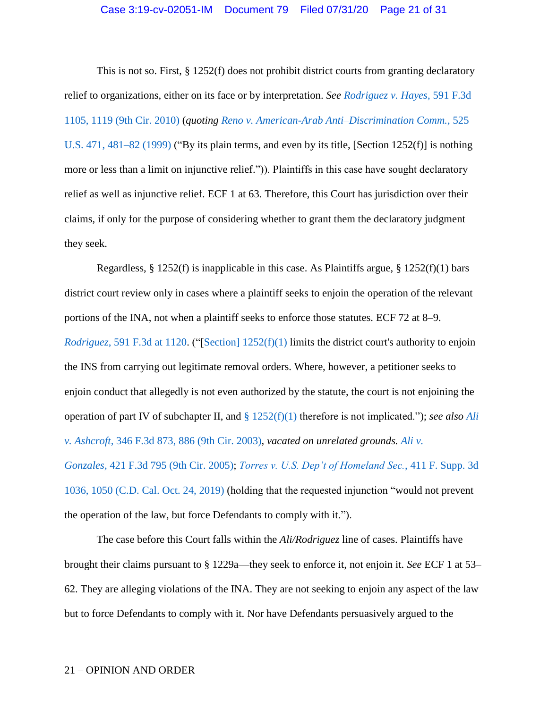This is not so. First, § 1252(f) does not prohibit district courts from granting declaratory relief to organizations, either on its face or by interpretation. *See [Rodriguez v. Hayes](https://www.westlaw.com/Document/I903f0153f97d11deb08de1b7506ad85b/View/FullText.html?transitionType=Default&contextData=(sc.Default)&VR=3.0&RS=da3.0&fragmentIdentifier=co_pp_sp_506_1119)*, 591 F.3d [1105, 1119 \(9th Cir. 2010\)](https://www.westlaw.com/Document/I903f0153f97d11deb08de1b7506ad85b/View/FullText.html?transitionType=Default&contextData=(sc.Default)&VR=3.0&RS=da3.0&fragmentIdentifier=co_pp_sp_506_1119) (*quoting [Reno v. American-Arab Anti–Discrimination Comm.,](https://www.westlaw.com/Document/Ibde1438c9c2511d9bc61beebb95be672/View/FullText.html?transitionType=Default&contextData=(sc.Default)&VR=3.0&RS=da3.0&fragmentIdentifier=co_pp_sp_780_481)* 525 [U.S. 471, 481–82 \(1999\)](https://www.westlaw.com/Document/Ibde1438c9c2511d9bc61beebb95be672/View/FullText.html?transitionType=Default&contextData=(sc.Default)&VR=3.0&RS=da3.0&fragmentIdentifier=co_pp_sp_780_481) ("By its plain terms, and even by its title, [Section 1252(f)] is nothing more or less than a limit on injunctive relief.")). Plaintiffs in this case have sought declaratory relief as well as injunctive relief. ECF 1 at 63. Therefore, this Court has jurisdiction over their claims, if only for the purpose of considering whether to grant them the declaratory judgment they seek.

Regardless,  $\S 1252(f)$  is inapplicable in this case. As Plaintiffs argue,  $\S 1252(f)(1)$  bars district court review only in cases where a plaintiff seeks to enjoin the operation of the relevant portions of the INA, not when a plaintiff seeks to enforce those statutes. ECF 72 at 8–9. *Rodriguez*[, 591 F.3d at 1120.](https://www.westlaw.com/Document/I903f0153f97d11deb08de1b7506ad85b/View/FullText.html?transitionType=Default&contextData=(sc.Default)&VR=3.0&RS=da3.0&fragmentIdentifier=co_pp_sp_506_1120) ("[\[Section\] 1252\(f\)\(1\)](https://www.westlaw.com/Document/N6DA60B40D3B511D9B9348E3FD7EA6B83/View/FullText.html?transitionType=Default&contextData=(sc.Default)&VR=3.0&RS=da3.0) limits the district court's authority to enjoin the INS from carrying out legitimate removal orders. Where, however, a petitioner seeks to enjoin conduct that allegedly is not even authorized by the statute, the court is not enjoining the operation of part IV of subchapter II, and § [1252\(f\)\(1\)](https://www.westlaw.com/Document/N6DA60B40D3B511D9B9348E3FD7EA6B83/View/FullText.html?transitionType=Default&contextData=(sc.Default)&VR=3.0&RS=da3.0) therefore is not implicated."); *see also [Ali](https://www.westlaw.com/Document/Ibb28986c89eb11d9903eeb4634b8d78e/View/FullText.html?transitionType=Default&contextData=(sc.Default)&VR=3.0&RS=da3.0&fragmentIdentifier=co_pp_sp_506_886)  v. Ashcroft,* [346 F.3d 873, 886 \(9th Cir. 2003\)](https://www.westlaw.com/Document/Ibb28986c89eb11d9903eeb4634b8d78e/View/FullText.html?transitionType=Default&contextData=(sc.Default)&VR=3.0&RS=da3.0&fragmentIdentifier=co_pp_sp_506_886)*, vacated on unrelated grounds. [Ali](https://www.westlaw.com/Document/I2fe79242164911daaea49302b5f61a35/View/FullText.html?transitionType=Default&contextData=(sc.Default)&VR=3.0&RS=da3.0) v. Gonzales,* [421 F.3d 795 \(9th Cir. 2005\);](https://www.westlaw.com/Document/I2fe79242164911daaea49302b5f61a35/View/FullText.html?transitionType=Default&contextData=(sc.Default)&VR=3.0&RS=da3.0) *[Torres v. U.S. Dep't of Homeland Sec.](https://www.westlaw.com/Document/Idb0d8a8005a211ea83e6f815c7cdf150/View/FullText.html?transitionType=Default&contextData=(sc.Default)&VR=3.0&RS=da3.0)*, 411 F. Supp. 3d 1036, 1050 [\(C.D. Cal. Oct. 24, 2019\)](https://www.westlaw.com/Document/Idb0d8a8005a211ea83e6f815c7cdf150/View/FullText.html?transitionType=Default&contextData=(sc.Default)&VR=3.0&RS=da3.0) (holding that the requested injunction "would not prevent the operation of the law, but force Defendants to comply with it.").

The case before this Court falls within the *Ali/Rodriguez* line of cases. Plaintiffs have brought their claims pursuant to § 1229a—they seek to enforce it, not enjoin it. *See* ECF 1 at 53– 62. They are alleging violations of the INA. They are not seeking to enjoin any aspect of the law but to force Defendants to comply with it. Nor have Defendants persuasively argued to the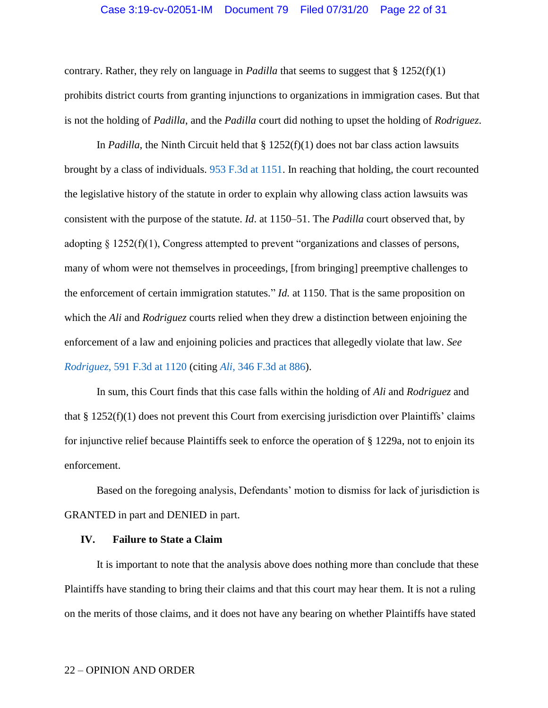## Case 3:19-cv-02051-IM Document 79 Filed 07/31/20 Page 22 of 31

contrary. Rather, they rely on language in *Padilla* that seems to suggest that § 1252(f)(1) prohibits district courts from granting injunctions to organizations in immigration cases. But that is not the holding of *Padilla*, and the *Padilla* court did nothing to upset the holding of *Rodriguez*.

In *Padilla*, the Ninth Circuit held that § 1252(f)(1) does not bar class action lawsuits brought by a class of individuals. [953 F.3d at 1151.](https://www.westlaw.com/Document/Iffd797c0708211eaafc9a4147037e074/View/FullText.html?transitionType=Default&contextData=(sc.Default)&VR=3.0&RS=da3.0&fragmentIdentifier=co_pp_sp_506_1151) In reaching that holding, the court recounted the legislative history of the statute in order to explain why allowing class action lawsuits was consistent with the purpose of the statute. *Id*. at 1150–51. The *Padilla* court observed that, by adopting § 1252(f)(1), Congress attempted to prevent "organizations and classes of persons, many of whom were not themselves in proceedings, [from bringing] preemptive challenges to the enforcement of certain immigration statutes." *Id.* at 1150. That is the same proposition on which the *Ali* and *Rodriguez* courts relied when they drew a distinction between enjoining the enforcement of a law and enjoining policies and practices that allegedly violate that law. *See Rodriguez*[, 591 F.3d at 1120](https://www.westlaw.com/Document/I903f0153f97d11deb08de1b7506ad85b/View/FullText.html?transitionType=Default&contextData=(sc.Default)&VR=3.0&RS=da3.0&fragmentIdentifier=co_pp_sp_506_1120) (citing *Ali*[, 346 F.3d at 886\)](https://www.westlaw.com/Document/Ibb28986c89eb11d9903eeb4634b8d78e/View/FullText.html?transitionType=Default&contextData=(sc.Default)&VR=3.0&RS=da3.0&fragmentIdentifier=co_pp_sp_506_886).

In sum, this Court finds that this case falls within the holding of *Ali* and *Rodriguez* and that § 1252(f)(1) does not prevent this Court from exercising jurisdiction over Plaintiffs' claims for injunctive relief because Plaintiffs seek to enforce the operation of § 1229a, not to enjoin its enforcement.

Based on the foregoing analysis, Defendants' motion to dismiss for lack of jurisdiction is GRANTED in part and DENIED in part.

### **IV. Failure to State a Claim**

It is important to note that the analysis above does nothing more than conclude that these Plaintiffs have standing to bring their claims and that this court may hear them. It is not a ruling on the merits of those claims, and it does not have any bearing on whether Plaintiffs have stated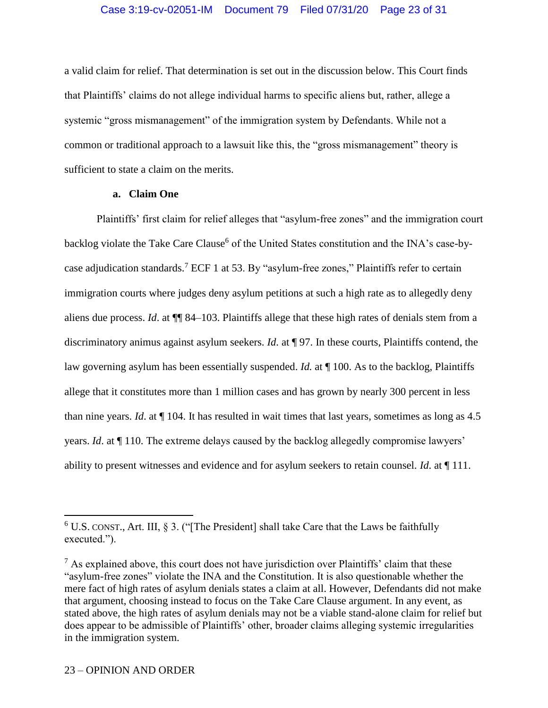# Case 3:19-cv-02051-IM Document 79 Filed 07/31/20 Page 23 of 31

a valid claim for relief. That determination is set out in the discussion below. This Court finds that Plaintiffs' claims do not allege individual harms to specific aliens but, rather, allege a systemic "gross mismanagement" of the immigration system by Defendants. While not a common or traditional approach to a lawsuit like this, the "gross mismanagement" theory is sufficient to state a claim on the merits.

# **a. Claim One**

Plaintiffs' first claim for relief alleges that "asylum-free zones" and the immigration court backlog violate the Take Care Clause<sup>6</sup> of the United States constitution and the INA's case-bycase adjudication standards.<sup>7</sup> ECF 1 at 53. By "asylum-free zones," Plaintiffs refer to certain immigration courts where judges deny asylum petitions at such a high rate as to allegedly deny aliens due process. *Id*. at ¶¶ 84–103. Plaintiffs allege that these high rates of denials stem from a discriminatory animus against asylum seekers. *Id*. at ¶ 97. In these courts, Plaintiffs contend, the law governing asylum has been essentially suspended. *Id.* at ¶ 100. As to the backlog, Plaintiffs allege that it constitutes more than 1 million cases and has grown by nearly 300 percent in less than nine years. *Id*. at ¶ 104. It has resulted in wait times that last years, sometimes as long as 4.5 years. *Id*. at ¶ 110. The extreme delays caused by the backlog allegedly compromise lawyers' ability to present witnesses and evidence and for asylum seekers to retain counsel. *Id*. at ¶ 111.

 $\overline{a}$ 

 $6$  U.S. CONST., Art. III, § 3. ("[The President] shall take Care that the Laws be faithfully executed.").

 $7$  As explained above, this court does not have jurisdiction over Plaintiffs' claim that these "asylum-free zones" violate the INA and the Constitution. It is also questionable whether the mere fact of high rates of asylum denials states a claim at all. However, Defendants did not make that argument, choosing instead to focus on the Take Care Clause argument. In any event, as stated above, the high rates of asylum denials may not be a viable stand-alone claim for relief but does appear to be admissible of Plaintiffs' other, broader claims alleging systemic irregularities in the immigration system.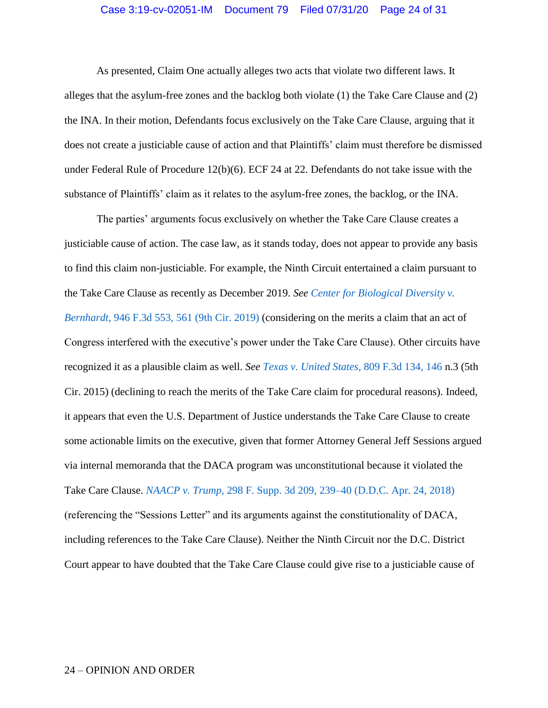#### Case 3:19-cv-02051-IM Document 79 Filed 07/31/20 Page 24 of 31

As presented, Claim One actually alleges two acts that violate two different laws. It alleges that the asylum-free zones and the backlog both violate (1) the Take Care Clause and (2) the INA. In their motion, Defendants focus exclusively on the Take Care Clause, arguing that it does not create a justiciable cause of action and that Plaintiffs' claim must therefore be dismissed under Federal Rule of Procedure 12(b)(6). ECF 24 at 22. Defendants do not take issue with the substance of Plaintiffs' claim as it relates to the asylum-free zones, the backlog, or the INA.

The parties' arguments focus exclusively on whether the Take Care Clause creates a justiciable cause of action. The case law, as it stands today, does not appear to provide any basis to find this claim non-justiciable. For example, the Ninth Circuit entertained a claim pursuant to the Take Care Clause as recently as December 2019. *See [Center for Biological Diversity v.](https://www.westlaw.com/Document/I7291e6402b4a11ea9076f88ee0fd553a/View/FullText.html?transitionType=Default&contextData=(sc.Default)&VR=3.0&RS=da3.0&fragmentIdentifier=co_pp_sp_506_561)  Bernhardt*[, 946 F.3d 553, 561 \(9th Cir. 2019\)](https://www.westlaw.com/Document/I7291e6402b4a11ea9076f88ee0fd553a/View/FullText.html?transitionType=Default&contextData=(sc.Default)&VR=3.0&RS=da3.0&fragmentIdentifier=co_pp_sp_506_561) (considering on the merits a claim that an act of Congress interfered with the executive's power under the Take Care Clause). Other circuits have recognized it as a plausible claim as well. *See [Texas v. United States](https://www.westlaw.com/Document/Ia7f2252f879c11e5b4bafa136b480ad2/View/FullText.html?transitionType=Default&contextData=(sc.Default)&VR=3.0&RS=da3.0&fragmentIdentifier=co_pp_sp_506_146)*, 809 F.3d 134, 146 n.3 (5th Cir. 2015) (declining to reach the merits of the Take Care claim for procedural reasons). Indeed, it appears that even the U.S. Department of Justice understands the Take Care Clause to create some actionable limits on the executive, given that former Attorney General Jeff Sessions argued via internal memoranda that the DACA program was unconstitutional because it violated the Take Care Clause. *NAACP v. Trump*[, 298 F. Supp. 3d 209, 239–40 \(D.D.C. Apr. 24, 2018\)](https://www.westlaw.com/Document/If18c33f0484911e89d97ba661a8e31a6/View/FullText.html?transitionType=Default&contextData=(sc.Default)&VR=3.0&RS=da3.0&fragmentIdentifier=co_pp_sp_7903_329) (referencing the "Sessions Letter" and its arguments against the constitutionality of DACA, including references to the Take Care Clause). Neither the Ninth Circuit nor the D.C. District Court appear to have doubted that the Take Care Clause could give rise to a justiciable cause of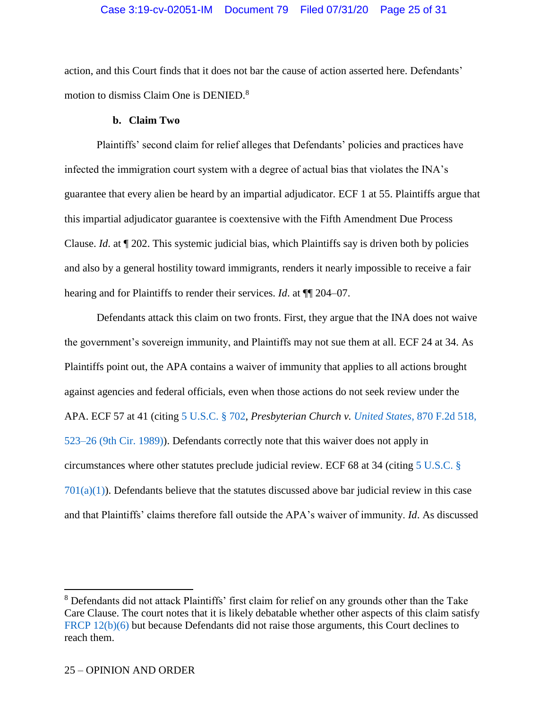# Case 3:19-cv-02051-IM Document 79 Filed 07/31/20 Page 25 of 31

action, and this Court finds that it does not bar the cause of action asserted here. Defendants' motion to dismiss Claim One is DENIED.<sup>8</sup>

# **b. Claim Two**

Plaintiffs' second claim for relief alleges that Defendants' policies and practices have infected the immigration court system with a degree of actual bias that violates the INA's guarantee that every alien be heard by an impartial adjudicator. ECF 1 at 55. Plaintiffs argue that this impartial adjudicator guarantee is coextensive with the Fifth Amendment Due Process Clause. *Id*. at ¶ 202. This systemic judicial bias, which Plaintiffs say is driven both by policies and also by a general hostility toward immigrants, renders it nearly impossible to receive a fair hearing and for Plaintiffs to render their services. *Id*. at ¶¶ 204–07.

Defendants attack this claim on two fronts. First, they argue that the INA does not waive the government's sovereign immunity, and Plaintiffs may not sue them at all. ECF 24 at 34. As Plaintiffs point out, the APA contains a waiver of immunity that applies to all actions brought against agencies and federal officials, even when those actions do not seek review under the APA. ECF 57 at 41 (citing [5 U.S.C. § 702,](https://www.westlaw.com/Document/NB54D3200A84311D885E288E02FD16EE7/View/FullText.html?transitionType=Default&contextData=(sc.Default)&VR=3.0&RS=da3.0) *Presbyterian Church v. United States*[, 870 F.2d 518,](https://www.westlaw.com/Document/Idbe83ea3970d11d993e6d35cc61aab4a/View/FullText.html?transitionType=Default&contextData=(sc.Default)&VR=3.0&RS=da3.0&fragmentIdentifier=co_pp_sp_350_523)  [523–26 \(9th Cir. 1989\)\)](https://www.westlaw.com/Document/Idbe83ea3970d11d993e6d35cc61aab4a/View/FullText.html?transitionType=Default&contextData=(sc.Default)&VR=3.0&RS=da3.0&fragmentIdentifier=co_pp_sp_350_523). Defendants correctly note that this waiver does not apply in circumstances where other statutes preclude judicial review. ECF 68 at 34 (citing [5 U.S.C. §](https://www.westlaw.com/Document/N00876EB0572F11E09A37FB990F84DFF9/View/FullText.html?transitionType=Default&contextData=(sc.Default)&VR=3.0&RS=da3.0)   $701(a)(1)$ ). Defendants believe that the statutes discussed above bar judicial review in this case and that Plaintiffs' claims therefore fall outside the APA's waiver of immunity. *Id*. As discussed

 $\overline{a}$ 

<sup>&</sup>lt;sup>8</sup> Defendants did not attack Plaintiffs' first claim for relief on any grounds other than the Take Care Clause. The court notes that it is likely debatable whether other aspects of this claim satisfy [FRCP 12\(b\)\(6\)](https://www.westlaw.com/Document/N96C8CD1043A111DC8D9EC9ECEEDEF2EE/View/FullText.html?transitionType=Default&contextData=(sc.Default)&VR=3.0&RS=da3.0) but because Defendants did not raise those arguments, this Court declines to reach them.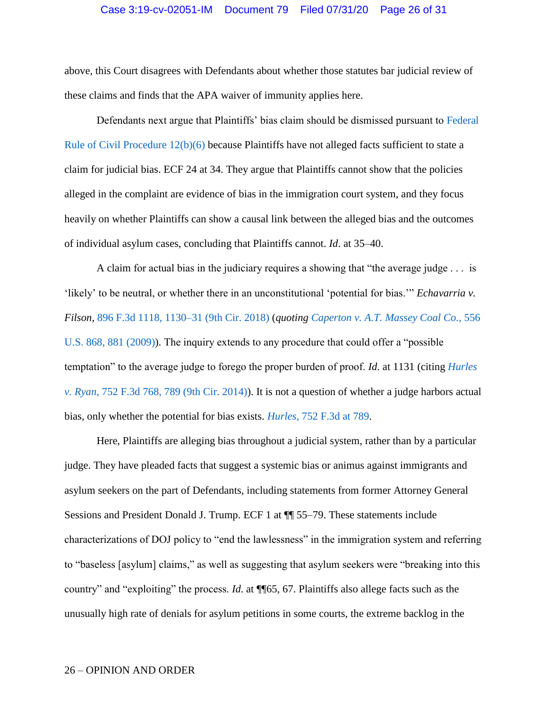# Case 3:19-cv-02051-IM Document 79 Filed 07/31/20 Page 26 of 31

above, this Court disagrees with Defendants about whether those statutes bar judicial review of these claims and finds that the APA waiver of immunity applies here.

Defendants next argue that Plaintiffs' bias claim should be dismissed pursuant to [Federal](https://www.westlaw.com/Document/N96C8CD1043A111DC8D9EC9ECEEDEF2EE/View/FullText.html?transitionType=Default&contextData=(sc.Default)&VR=3.0&RS=da3.0)  [Rule of Civil Procedure 12\(b\)\(6\)](https://www.westlaw.com/Document/N96C8CD1043A111DC8D9EC9ECEEDEF2EE/View/FullText.html?transitionType=Default&contextData=(sc.Default)&VR=3.0&RS=da3.0) because Plaintiffs have not alleged facts sufficient to state a claim for judicial bias. ECF 24 at 34. They argue that Plaintiffs cannot show that the policies alleged in the complaint are evidence of bias in the immigration court system, and they focus heavily on whether Plaintiffs can show a causal link between the alleged bias and the outcomes of individual asylum cases, concluding that Plaintiffs cannot. *Id*. at 35–40.

A claim for actual bias in the judiciary requires a showing that "the average judge . . . is 'likely' to be neutral, or whether there in an unconstitutional 'potential for bias.'" *Echavarria v. Filson*, 896 [F.3d 1118, 1130–31 \(9th Cir. 2018\)](https://www.westlaw.com/Document/I8fb90c12933111d9a707f4371c9c34f0/View/FullText.html?transitionType=Default&contextData=(sc.Default)&VR=3.0&RS=da3.0) (*quoting [Caperton v. A.T. Massey Coal Co.](https://www.westlaw.com/Document/Iedda8daf542511deabded03f2b83b8a4/View/FullText.html?transitionType=Default&contextData=(sc.Default)&VR=3.0&RS=da3.0&fragmentIdentifier=co_pp_sp_780_881)*, 556 [U.S. 868, 881 \(2009\)\)](https://www.westlaw.com/Document/Iedda8daf542511deabded03f2b83b8a4/View/FullText.html?transitionType=Default&contextData=(sc.Default)&VR=3.0&RS=da3.0&fragmentIdentifier=co_pp_sp_780_881). The inquiry extends to any procedure that could offer a "possible temptation" to the average judge to forego the proper burden of proof. *Id.* at 1131 (citing *[Hurles](https://www.westlaw.com/Document/I1526aef3dd3811e3b86bd602cb8781fa/View/FullText.html?transitionType=Default&contextData=(sc.Default)&VR=3.0&RS=da3.0&fragmentIdentifier=co_pp_sp_506_789)  v. Ryan*[, 752 F.3d 768, 789 \(9th Cir. 2014\)\)](https://www.westlaw.com/Document/I1526aef3dd3811e3b86bd602cb8781fa/View/FullText.html?transitionType=Default&contextData=(sc.Default)&VR=3.0&RS=da3.0&fragmentIdentifier=co_pp_sp_506_789). It is not a question of whether a judge harbors actual bias, only whether the potential for bias exists. *Hurles,* [752 F.3d at 789.](https://www.westlaw.com/Document/I1526aef3dd3811e3b86bd602cb8781fa/View/FullText.html?transitionType=Default&contextData=(sc.Default)&VR=3.0&RS=da3.0&fragmentIdentifier=co_pp_sp_506_789)

Here, Plaintiffs are alleging bias throughout a judicial system, rather than by a particular judge. They have pleaded facts that suggest a systemic bias or animus against immigrants and asylum seekers on the part of Defendants, including statements from former Attorney General Sessions and President Donald J. Trump. ECF 1 at ¶¶ 55–79. These statements include characterizations of DOJ policy to "end the lawlessness" in the immigration system and referring to "baseless [asylum] claims," as well as suggesting that asylum seekers were "breaking into this country" and "exploiting" the process. *Id*. at ¶¶65, 67. Plaintiffs also allege facts such as the unusually high rate of denials for asylum petitions in some courts, the extreme backlog in the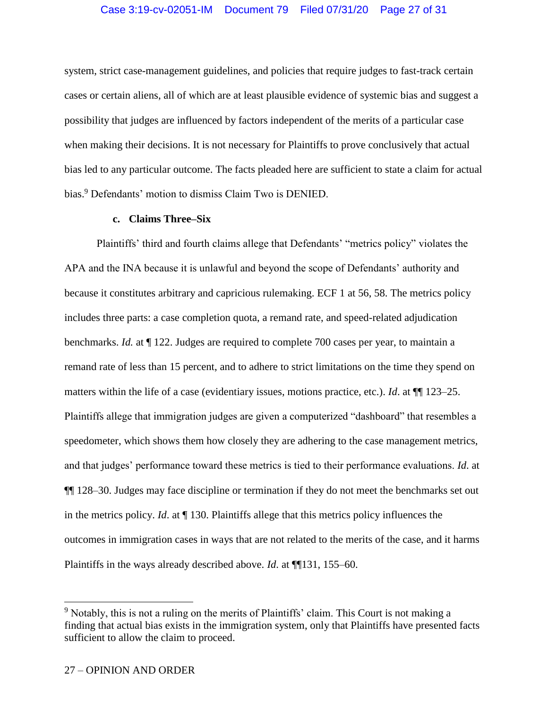system, strict case-management guidelines, and policies that require judges to fast-track certain cases or certain aliens, all of which are at least plausible evidence of systemic bias and suggest a possibility that judges are influenced by factors independent of the merits of a particular case when making their decisions. It is not necessary for Plaintiffs to prove conclusively that actual bias led to any particular outcome. The facts pleaded here are sufficient to state a claim for actual bias.<sup>9</sup> Defendants' motion to dismiss Claim Two is DENIED.

### **c. Claims Three–Six**

Plaintiffs' third and fourth claims allege that Defendants' "metrics policy" violates the APA and the INA because it is unlawful and beyond the scope of Defendants' authority and because it constitutes arbitrary and capricious rulemaking. ECF 1 at 56, 58. The metrics policy includes three parts: a case completion quota, a remand rate, and speed-related adjudication benchmarks. *Id.* at ¶ 122. Judges are required to complete 700 cases per year, to maintain a remand rate of less than 15 percent, and to adhere to strict limitations on the time they spend on matters within the life of a case (evidentiary issues, motions practice, etc.). *Id*. at ¶¶ 123–25. Plaintiffs allege that immigration judges are given a computerized "dashboard" that resembles a speedometer, which shows them how closely they are adhering to the case management metrics, and that judges' performance toward these metrics is tied to their performance evaluations. *Id*. at ¶¶ 128–30. Judges may face discipline or termination if they do not meet the benchmarks set out in the metrics policy. *Id*. at ¶ 130. Plaintiffs allege that this metrics policy influences the outcomes in immigration cases in ways that are not related to the merits of the case, and it harms Plaintiffs in the ways already described above. *Id*. at ¶¶131, 155–60.

 $\overline{a}$ 

<sup>&</sup>lt;sup>9</sup> Notably, this is not a ruling on the merits of Plaintiffs' claim. This Court is not making a finding that actual bias exists in the immigration system, only that Plaintiffs have presented facts sufficient to allow the claim to proceed.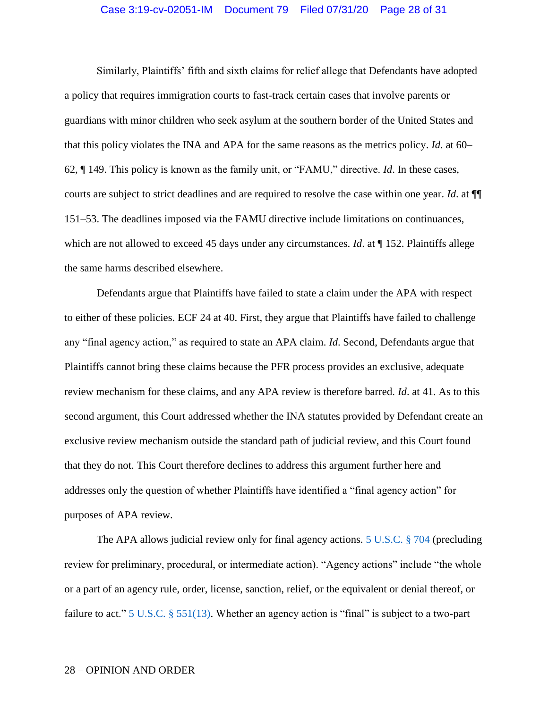# Case 3:19-cv-02051-IM Document 79 Filed 07/31/20 Page 28 of 31

Similarly, Plaintiffs' fifth and sixth claims for relief allege that Defendants have adopted a policy that requires immigration courts to fast-track certain cases that involve parents or guardians with minor children who seek asylum at the southern border of the United States and that this policy violates the INA and APA for the same reasons as the metrics policy. *Id*. at 60– 62, ¶ 149. This policy is known as the family unit, or "FAMU," directive. *Id*. In these cases, courts are subject to strict deadlines and are required to resolve the case within one year. *Id*. at ¶¶ 151–53. The deadlines imposed via the FAMU directive include limitations on continuances, which are not allowed to exceed 45 days under any circumstances. *Id.* at  $\P$  152. Plaintiffs allege the same harms described elsewhere.

Defendants argue that Plaintiffs have failed to state a claim under the APA with respect to either of these policies. ECF 24 at 40. First, they argue that Plaintiffs have failed to challenge any "final agency action," as required to state an APA claim. *Id*. Second, Defendants argue that Plaintiffs cannot bring these claims because the PFR process provides an exclusive, adequate review mechanism for these claims, and any APA review is therefore barred. *Id*. at 41. As to this second argument, this Court addressed whether the INA statutes provided by Defendant create an exclusive review mechanism outside the standard path of judicial review, and this Court found that they do not. This Court therefore declines to address this argument further here and addresses only the question of whether Plaintiffs have identified a "final agency action" for purposes of APA review.

The APA allows judicial review only for final agency actions. [5 U.S.C.](https://www.westlaw.com/Document/NB55C9B50A84311D885E288E02FD16EE7/View/FullText.html?transitionType=Default&contextData=(sc.Default)&VR=3.0&RS=da3.0) § 704 (precluding review for preliminary, procedural, or intermediate action). "Agency actions" include "the whole or a part of an agency rule, order, license, sanction, relief, or the equivalent or denial thereof, or failure to act." [5 U.S.C. § 551\(13\).](https://www.westlaw.com/Document/N3D02AB70572011E08B93E486F00F598E/View/FullText.html?transitionType=Default&contextData=(sc.Default)&VR=3.0&RS=da3.0) Whether an agency action is "final" is subject to a two-part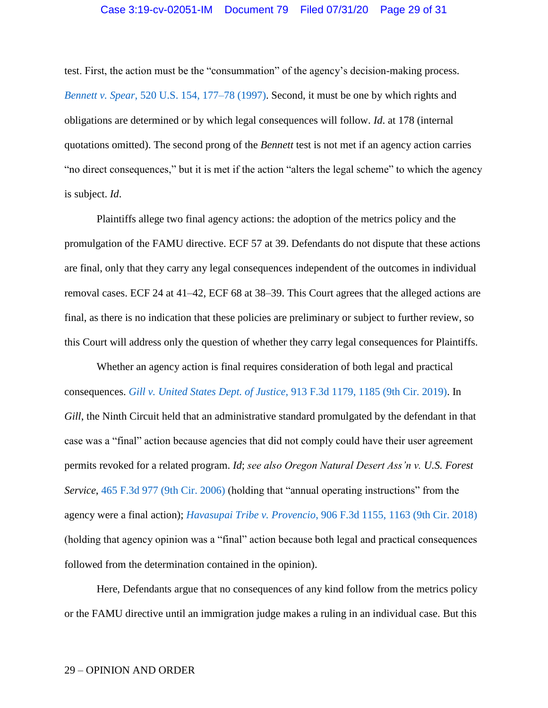test. First, the action must be the "consummation" of the agency's decision-making process. *Bennett v. Spear*[, 520 U.S. 154, 177–78 \(1997\).](https://www.westlaw.com/Document/Ibdd7cdad9c2511d9bc61beebb95be672/View/FullText.html?transitionType=Default&contextData=(sc.Default)&VR=3.0&RS=da3.0&fragmentIdentifier=co_pp_sp_780_177) Second, it must be one by which rights and obligations are determined or by which legal consequences will follow. *Id*. at 178 (internal quotations omitted). The second prong of the *Bennett* test is not met if an agency action carries "no direct consequences," but it is met if the action "alters the legal scheme" to which the agency is subject. *Id*.

Plaintiffs allege two final agency actions: the adoption of the metrics policy and the promulgation of the FAMU directive. ECF 57 at 39. Defendants do not dispute that these actions are final, only that they carry any legal consequences independent of the outcomes in individual removal cases. ECF 24 at 41–42, ECF 68 at 38–39. This Court agrees that the alleged actions are final, as there is no indication that these policies are preliminary or subject to further review, so this Court will address only the question of whether they carry legal consequences for Plaintiffs.

Whether an agency action is final requires consideration of both legal and practical consequences. *Gill v. United States Dept. of Justice*[, 913 F.3d 1179, 1185 \(9th Cir. 2019\).](https://www.westlaw.com/Document/Id653463023e711e9a99cca37ea0f7dc8/View/FullText.html?transitionType=Default&contextData=(sc.Default)&VR=3.0&RS=da3.0&fragmentIdentifier=co_pp_sp_506_1185) In *Gill*, the Ninth Circuit held that an administrative standard promulgated by the defendant in that case was a "final" action because agencies that did not comply could have their user agreement permits revoked for a related program. *Id*; *see also Oregon Natural Desert Ass'n v. U.S. Forest Service*, [465 F.3d 977 \(9th Cir. 2006\)](https://www.westlaw.com/Document/I2e48e018495411db80c2e56cac103088/View/FullText.html?transitionType=Default&contextData=(sc.Default)&VR=3.0&RS=da3.0) (holding that "annual operating instructions" from the agency were a final action); *[Havasupai Tribe v. Provencio](https://www.westlaw.com/Document/I97724250d86e11e8a573b12ad1dad226/View/FullText.html?transitionType=Default&contextData=(sc.Default)&VR=3.0&RS=da3.0)*, 906 F.3d 1155, 1163 (9th Cir. 2018) (holding that agency opinion was a "final" action because both legal and practical consequences followed from the determination contained in the opinion).

Here, Defendants argue that no consequences of any kind follow from the metrics policy or the FAMU directive until an immigration judge makes a ruling in an individual case. But this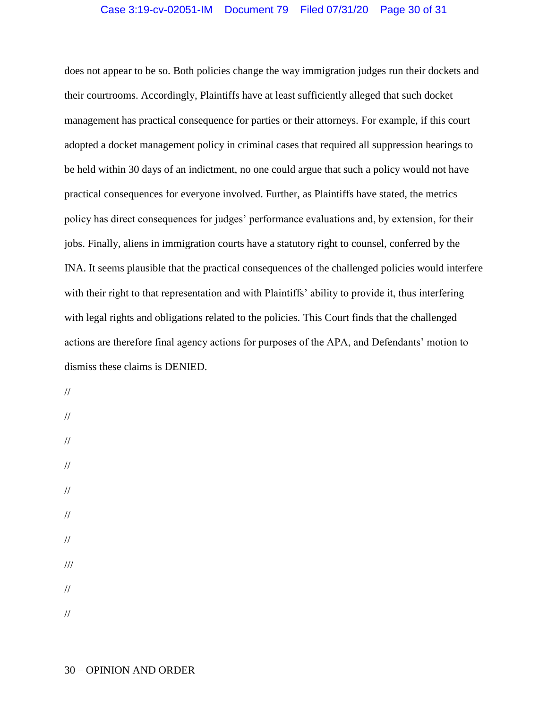# Case 3:19-cv-02051-IM Document 79 Filed 07/31/20 Page 30 of 31

does not appear to be so. Both policies change the way immigration judges run their dockets and their courtrooms. Accordingly, Plaintiffs have at least sufficiently alleged that such docket management has practical consequence for parties or their attorneys. For example, if this court adopted a docket management policy in criminal cases that required all suppression hearings to be held within 30 days of an indictment, no one could argue that such a policy would not have practical consequences for everyone involved. Further, as Plaintiffs have stated, the metrics policy has direct consequences for judges' performance evaluations and, by extension, for their jobs. Finally, aliens in immigration courts have a statutory right to counsel, conferred by the INA. It seems plausible that the practical consequences of the challenged policies would interfere with their right to that representation and with Plaintiffs' ability to provide it, thus interfering with legal rights and obligations related to the policies. This Court finds that the challenged actions are therefore final agency actions for purposes of the APA, and Defendants' motion to dismiss these claims is DENIED.

// // // // // // // /// // //